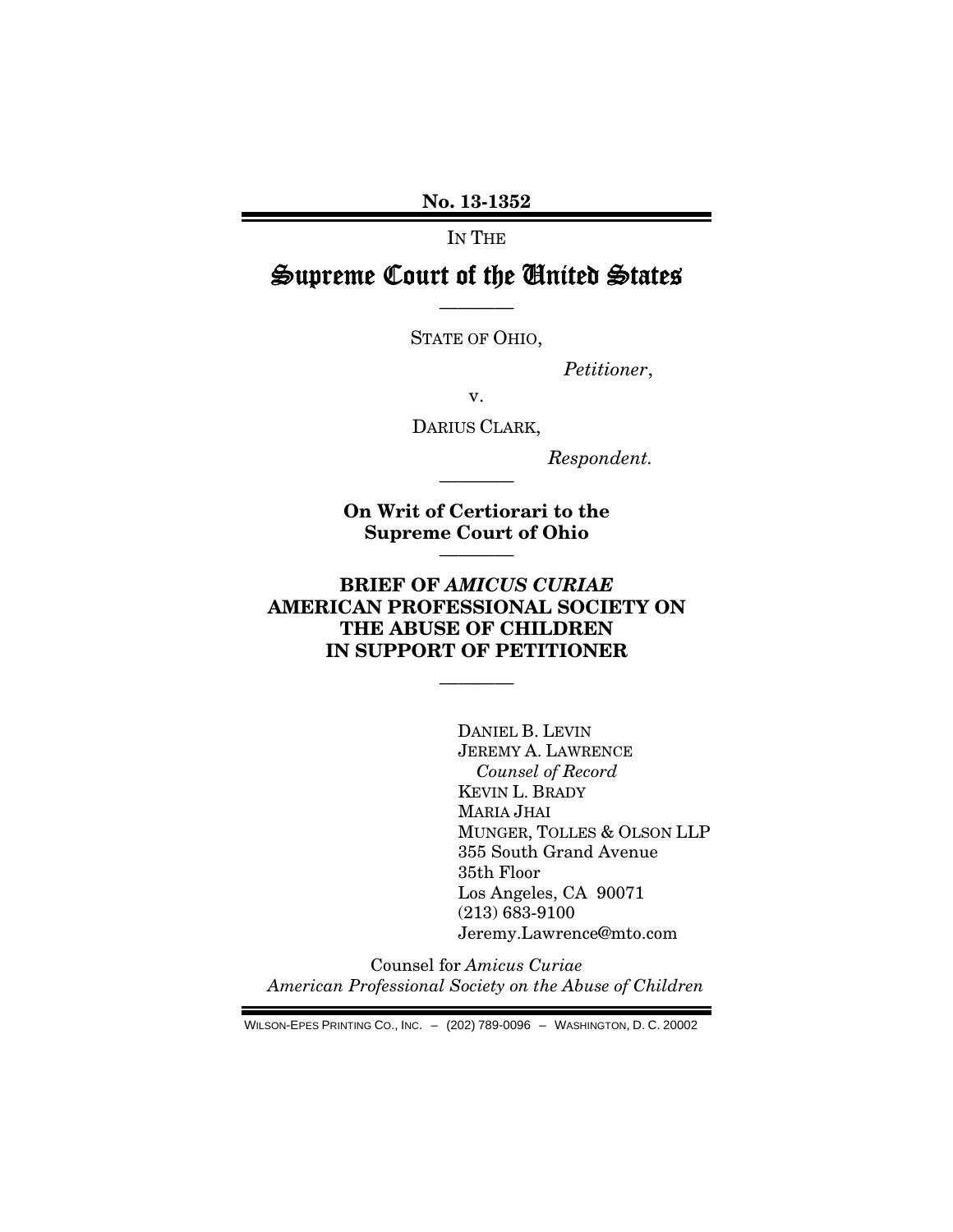No. 13-1352

IN THE

# Supreme Court of the United States

————

STATE OF OHIO,

*Petitioner*,

v.

DARIUS CLARK,

*Respondent.* 

On Writ of Certiorari to the Supreme Court of Ohio

————

————

## BRIEF OF *AMICUS CURIAE* AMERICAN PROFESSIONAL SOCIETY ON THE ABUSE OF CHILDREN IN SUPPORT OF PETITIONER

————

DANIEL B. LEVIN JEREMY A. LAWRENCE *Counsel of Record*  KEVIN L. BRADY MARIA JHAI MUNGER, TOLLES & OLSON LLP 355 South Grand Avenue 35th Floor Los Angeles, CA 90071 (213) 683-9100 Jeremy.Lawrence@mto.com

Counsel for *Amicus Curiae American Professional Society on the Abuse of Children* 

WILSON-EPES PRINTING CO., INC. – (202) 789-0096 – WASHINGTON, D. C. 20002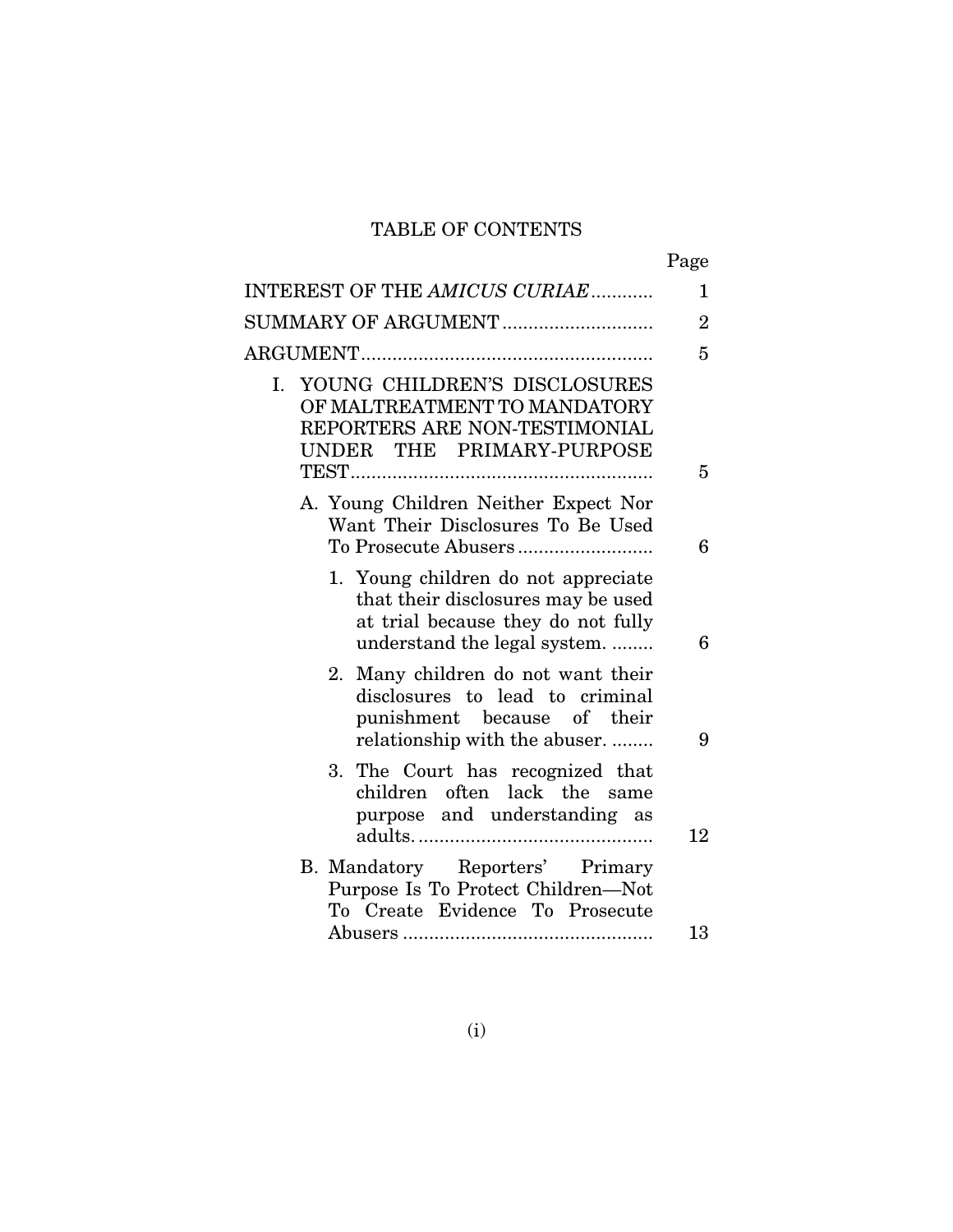# TABLE OF CONTENTS

|                                                                                                                                                 | Page           |
|-------------------------------------------------------------------------------------------------------------------------------------------------|----------------|
| INTEREST OF THE AMICUS CURIAE                                                                                                                   | $\mathbf{1}$   |
| SUMMARY OF ARGUMENT                                                                                                                             | $\overline{2}$ |
|                                                                                                                                                 | 5              |
| I. YOUNG CHILDREN'S DISCLOSURES<br>OF MALTREATMENT TO MANDATORY<br>REPORTERS ARE NON-TESTIMONIAL<br>UNDER THE PRIMARY-PURPOSE                   | 5              |
| A. Young Children Neither Expect Nor<br>Want Their Disclosures To Be Used                                                                       | 6              |
| 1. Young children do not appreciate<br>that their disclosures may be used<br>at trial because they do not fully<br>understand the legal system. | 6              |
| Many children do not want their<br>2.<br>disclosures to lead to criminal<br>punishment because of their<br>relationship with the abuser         | 9              |
| The Court has recognized that<br>3.<br>children often lack the same<br>purpose and understanding as                                             | 12             |
| B. Mandatory Reporters' Primary<br>Purpose Is To Protect Children-Not<br>To Create Evidence To Prosecute                                        |                |
|                                                                                                                                                 | 13             |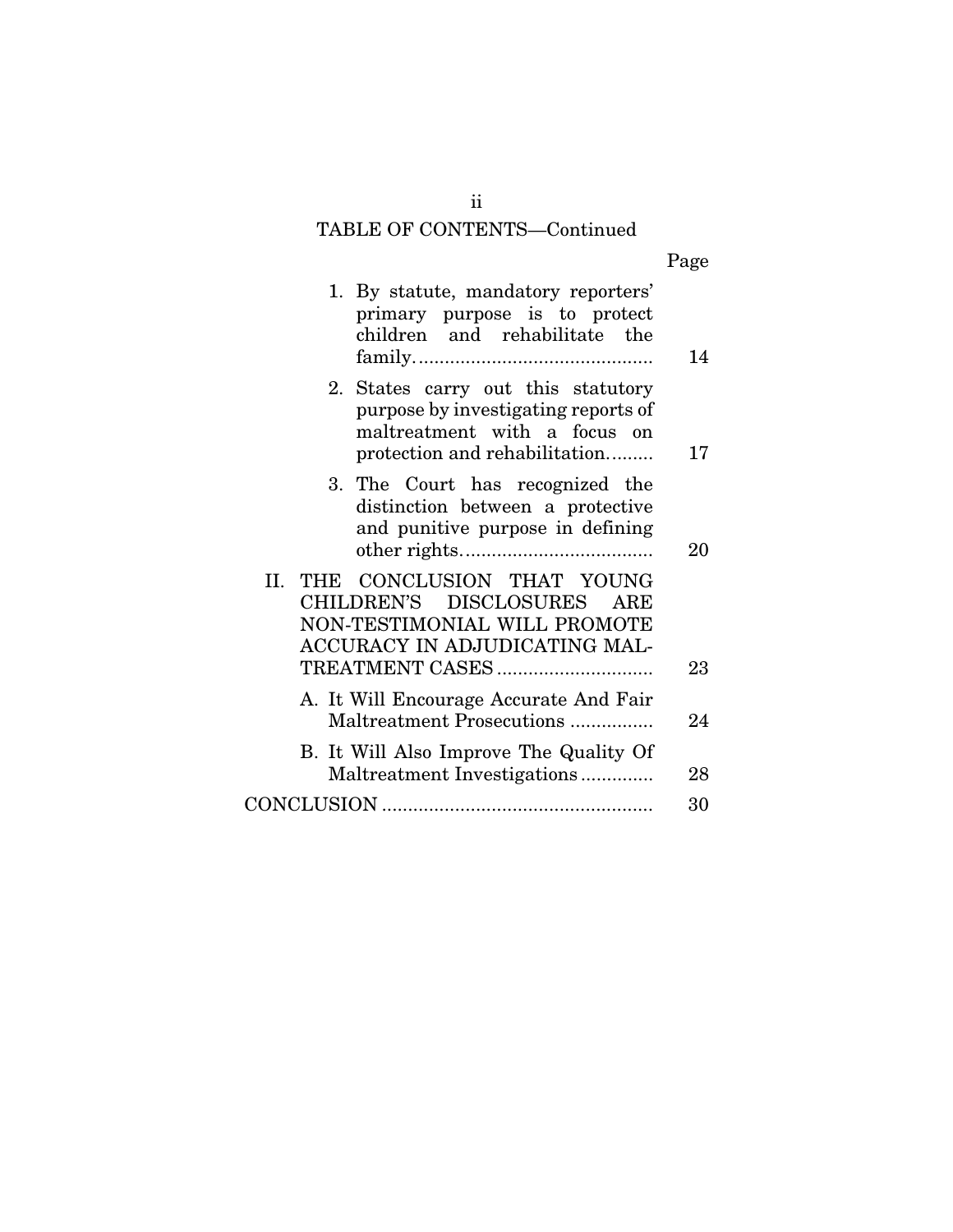# TABLE OF CONTENTS—Continued

| Page |
|------|
|      |

| 1. By statute, mandatory reporters'<br>primary purpose is to protect<br>children and rehabilitate the                                      | 14 |
|--------------------------------------------------------------------------------------------------------------------------------------------|----|
| 2. States carry out this statutory<br>purpose by investigating reports of<br>maltreatment with a focus on<br>protection and rehabilitation | 17 |
| 3. The Court has recognized the<br>distinction between a protective<br>and punitive purpose in defining                                    | 20 |
| II. THE CONCLUSION THAT YOUNG<br>CHILDREN'S DISCLOSURES ARE<br>NON-TESTIMONIAL WILL PROMOTE<br>ACCURACY IN ADJUDICATING MAL-               | 23 |
| A. It Will Encourage Accurate And Fair<br>Maltreatment Prosecutions                                                                        | 24 |
| B. It Will Also Improve The Quality Of<br>Maltreatment Investigations                                                                      | 28 |
|                                                                                                                                            | 30 |

ii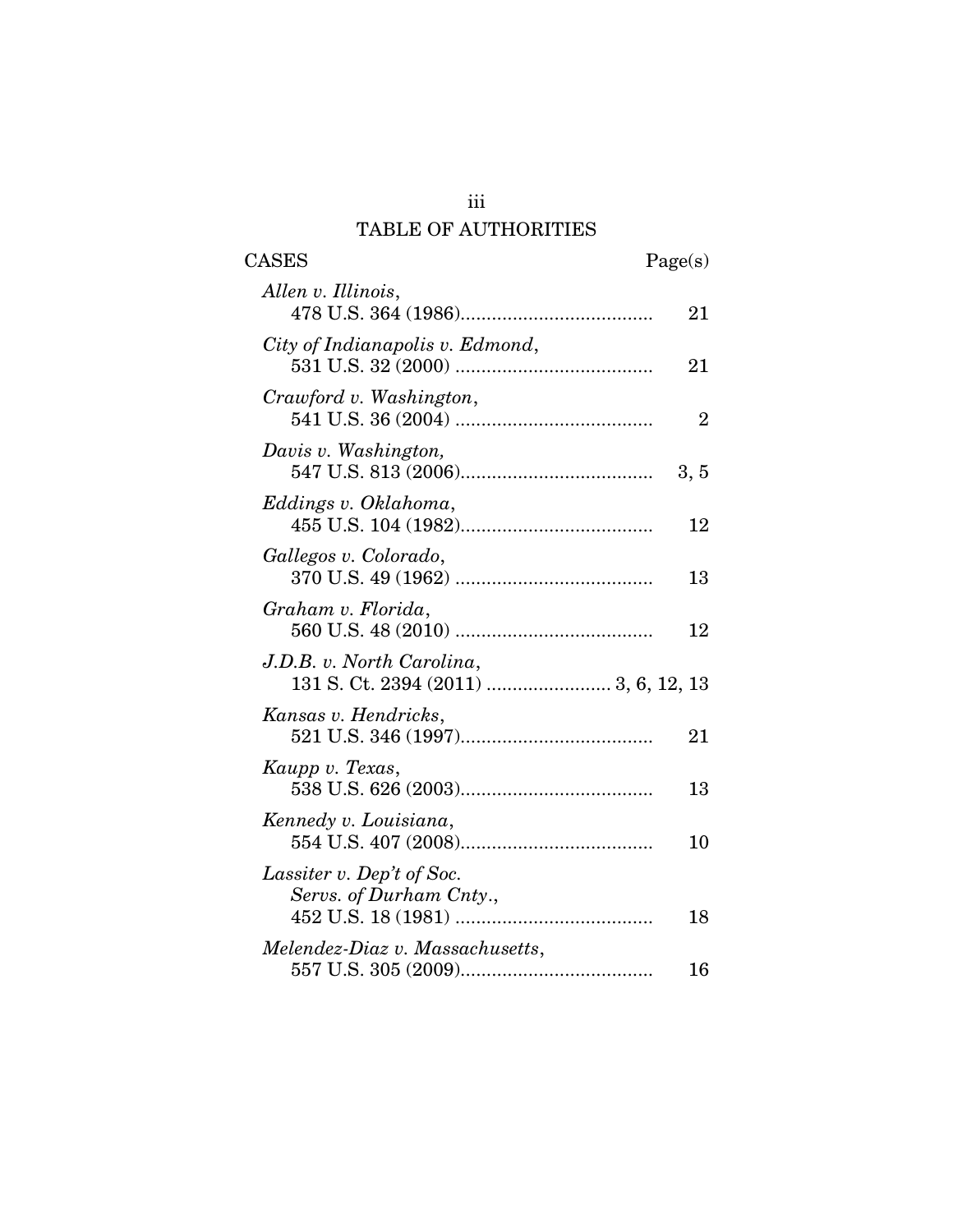# TABLE OF AUTHORITIES

| CASES                                                | Page(s)        |
|------------------------------------------------------|----------------|
| Allen v. Illinois,                                   | 21             |
| City of Indianapolis v. Edmond,                      | 21             |
| Crawford v. Washington,                              | $\overline{2}$ |
| Davis v. Washington,                                 | 3, 5           |
| Eddings v. Oklahoma,                                 | 12             |
| Gallegos v. Colorado,                                | 13             |
| Graham v. Florida,                                   | 12             |
| J.D.B. v. North Carolina,                            |                |
| Kansas v. Hendricks,                                 | 21             |
| Kaupp v. Texas,                                      | 13             |
| Kennedy v. Louisiana,                                | 10             |
| Lassiter v. Dep't of Soc.<br>Servs. of Durham Cnty., |                |
| Melendez-Diaz v. Massachusetts,                      | 18             |
|                                                      | 16             |

iii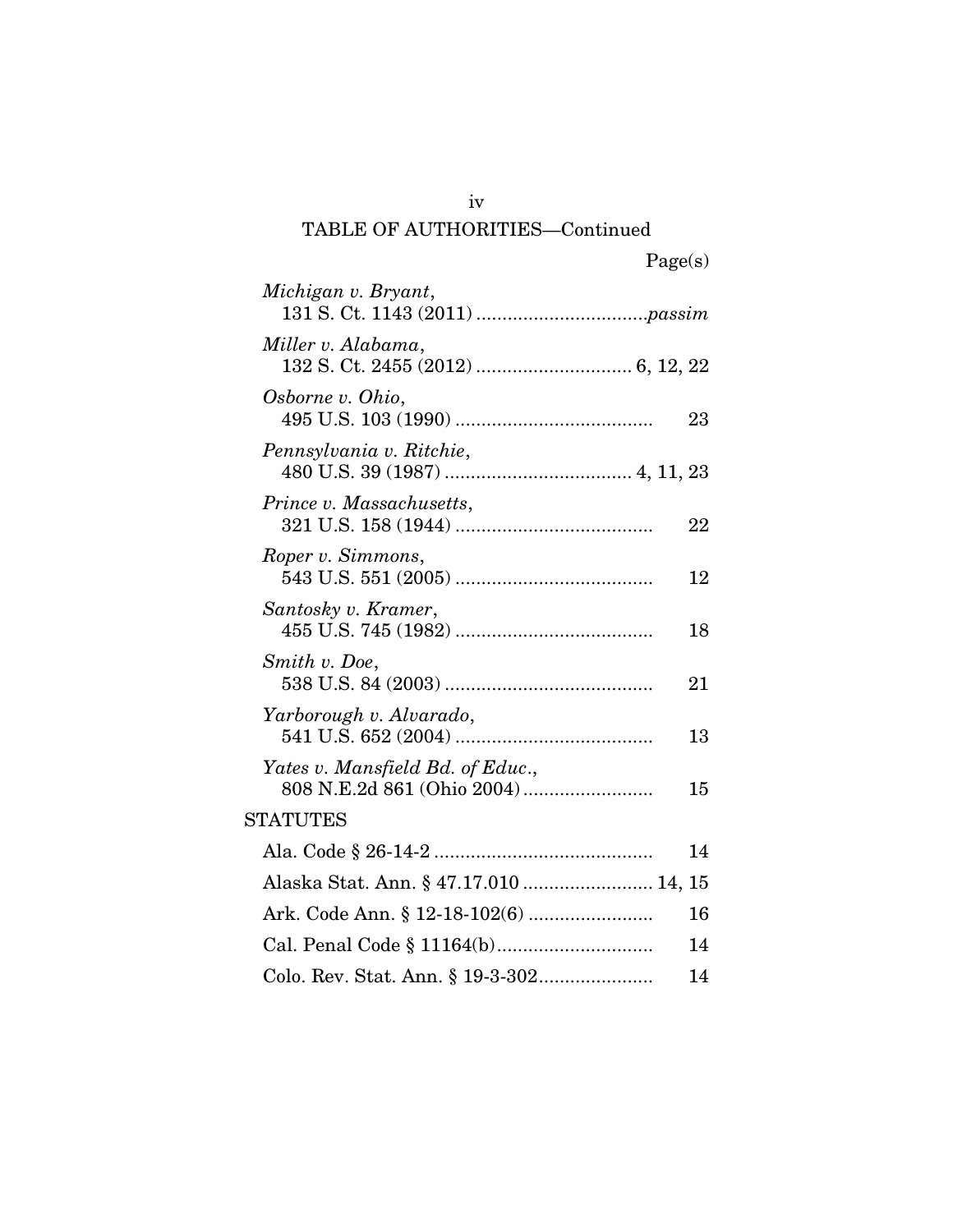# iv TABLE OF AUTHORITIES—Continued

| Michigan v. Bryant,                   |    |
|---------------------------------------|----|
| Miller v. Alabama,                    |    |
| Osborne v. Ohio,                      | 23 |
| Pennsylvania v. Ritchie,              |    |
| Prince v. Massachusetts,              | 22 |
| Roper v. Simmons,                     | 12 |
| Santosky v. Kramer,                   | 18 |
| Smith v. Doe,                         | 21 |
| Yarborough v. Alvarado,               | 13 |
| Yates v. Mansfield Bd. of Educ.,      | 15 |
| <b>STATUTES</b>                       |    |
|                                       | 14 |
| Alaska Stat. Ann. § 47.17.010  14, 15 |    |
|                                       | 16 |
|                                       | 14 |
|                                       | 14 |
|                                       |    |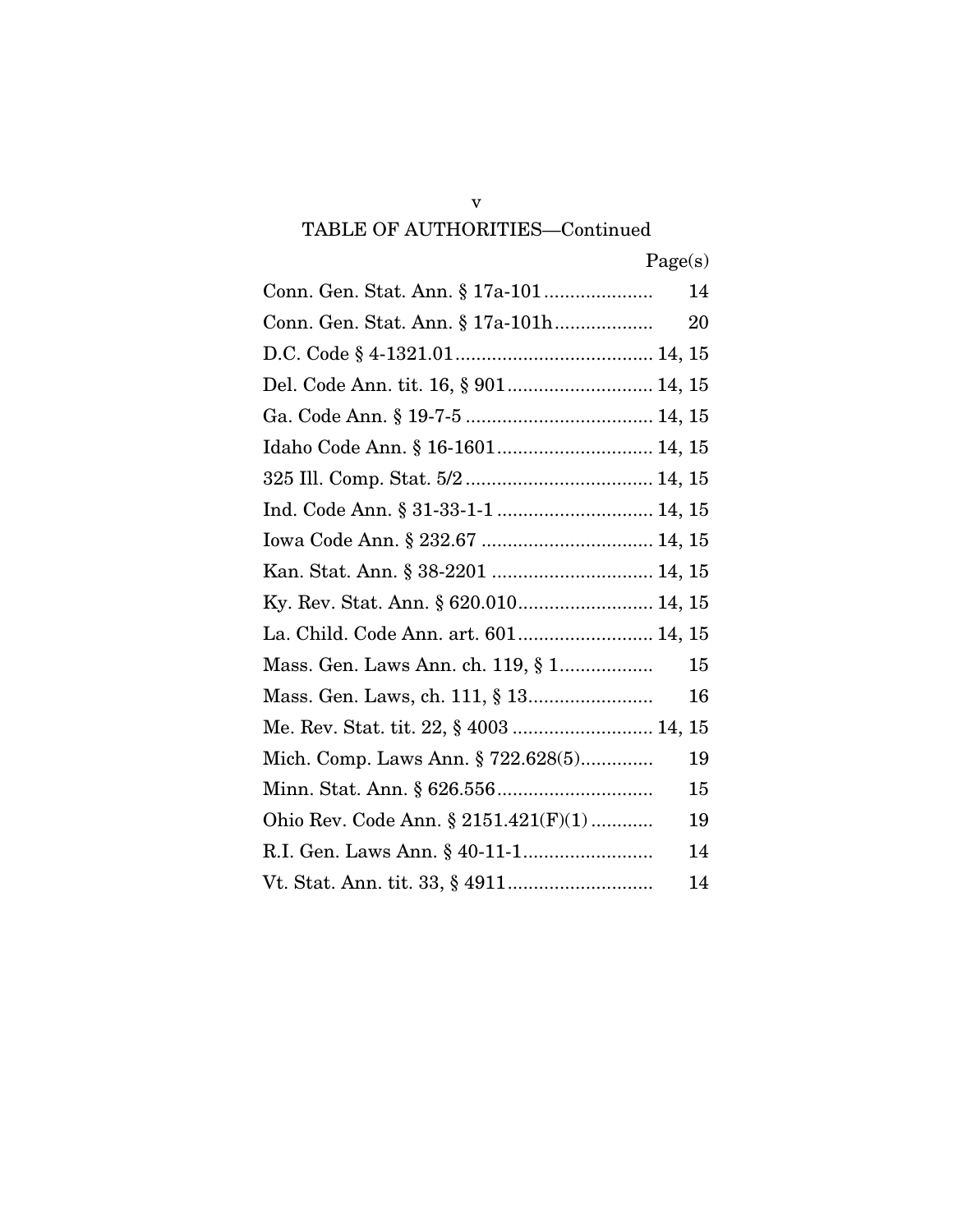# v TABLE OF AUTHORITIES—Continued

|                                         | 14 |
|-----------------------------------------|----|
| Conn. Gen. Stat. Ann. § 17a-101h        | 20 |
|                                         |    |
| Del. Code Ann. tit. 16, § 901 14, 15    |    |
|                                         |    |
| Idaho Code Ann. § 16-1601 14, 15        |    |
|                                         |    |
|                                         |    |
|                                         |    |
| Kan. Stat. Ann. § 38-2201  14, 15       |    |
|                                         |    |
| La. Child. Code Ann. art. 601 14, 15    |    |
|                                         | 15 |
|                                         | 16 |
| Me. Rev. Stat. tit. 22, § 4003  14, 15  |    |
| Mich. Comp. Laws Ann. § 722.628(5)      | 19 |
|                                         | 15 |
| Ohio Rev. Code Ann. $\S 2151.421(F)(1)$ | 19 |
|                                         | 14 |
|                                         | 14 |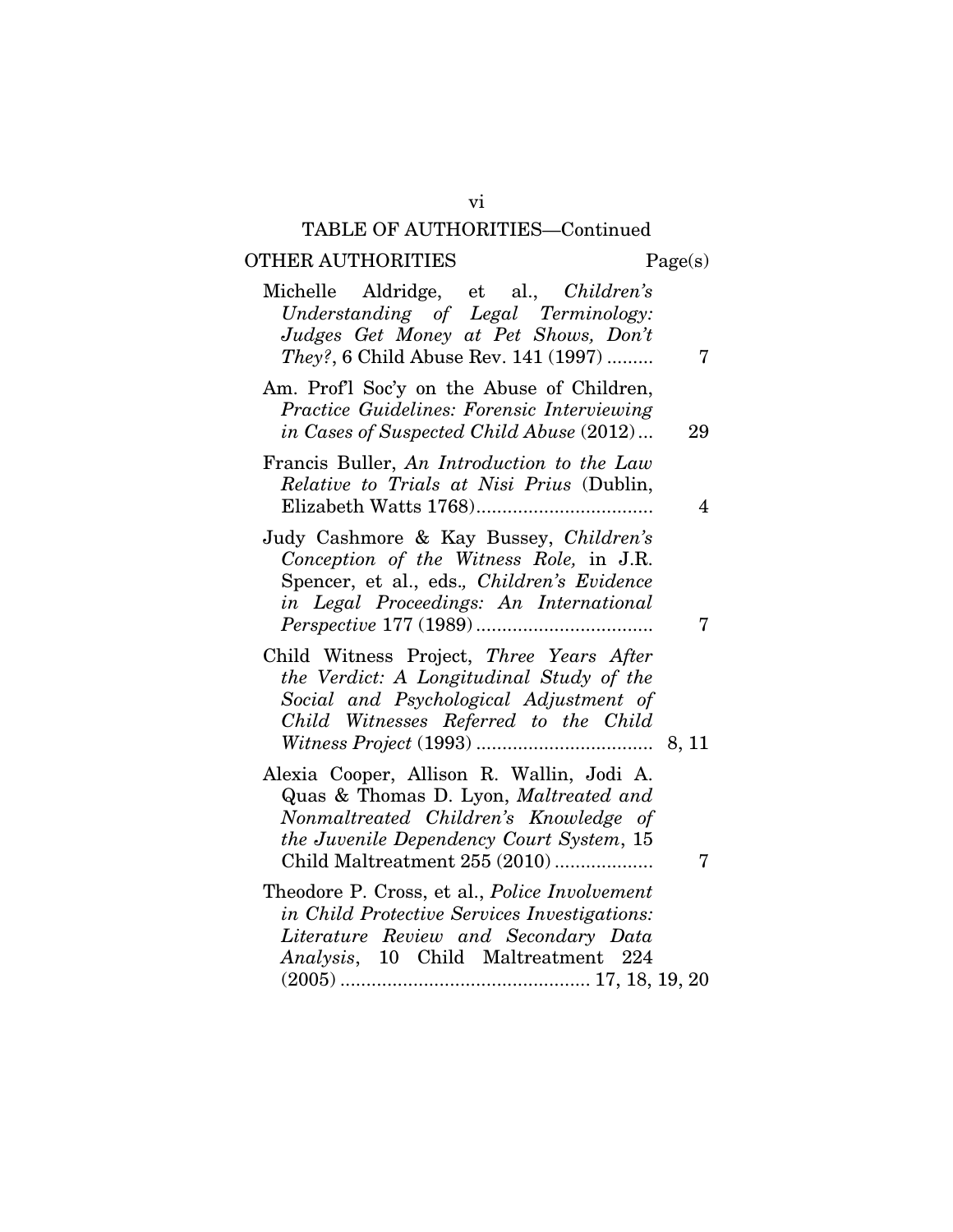# TABLE OF AUTHORITIES—Continued

# OTHER AUTHORITIES Page(s)

vi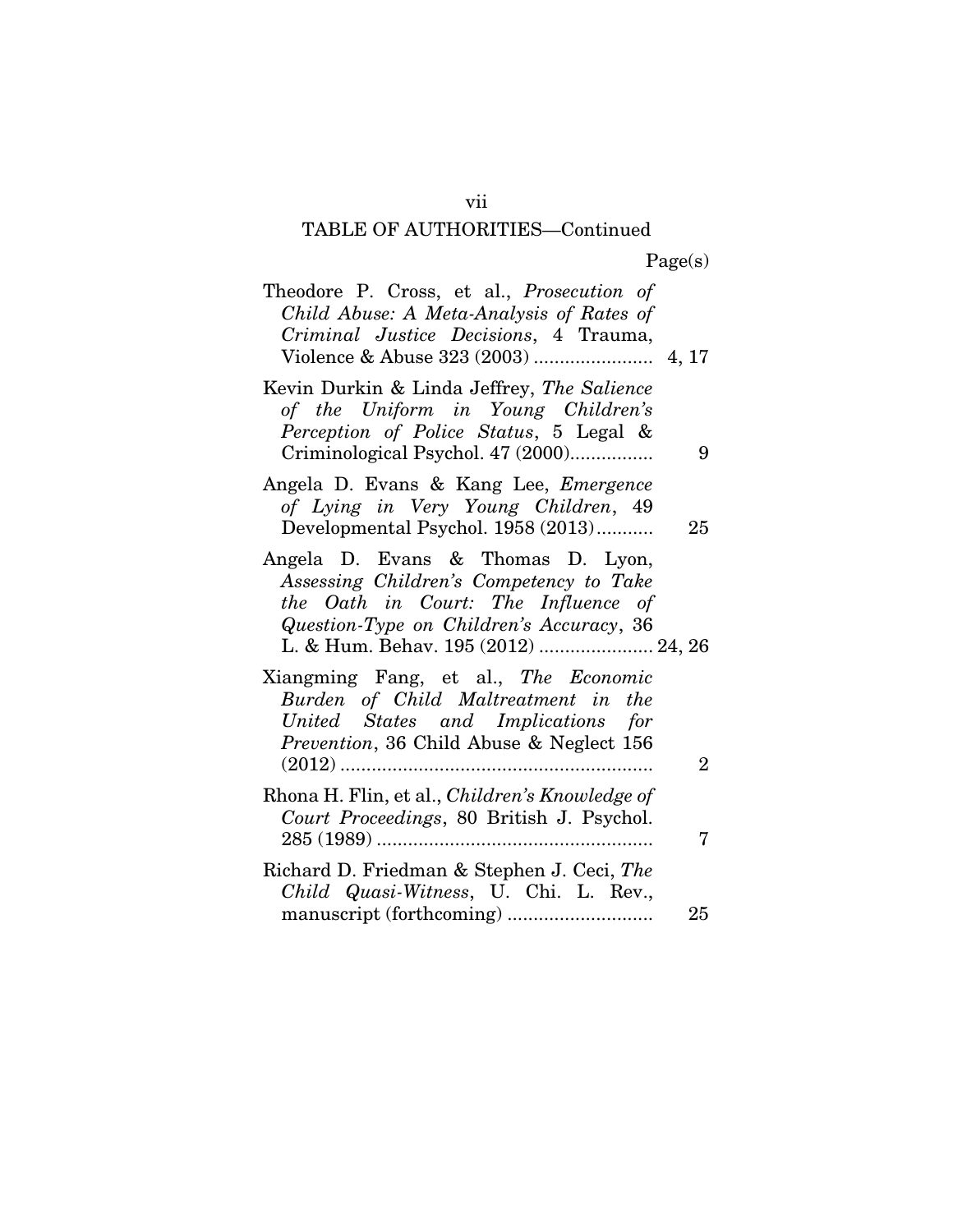# TABLE OF AUTHORITIES—Continued

| Theodore P. Cross, et al., <i>Prosecution of</i><br>Child Abuse: A Meta-Analysis of Rates of<br>Criminal Justice Decisions, 4 Trauma,                                                                  |                |
|--------------------------------------------------------------------------------------------------------------------------------------------------------------------------------------------------------|----------------|
| Kevin Durkin & Linda Jeffrey, The Salience<br>of the Uniform in Young Children's<br>Perception of Police Status, 5 Legal &<br>Criminological Psychol. 47 (2000)                                        | 9              |
| Angela D. Evans & Kang Lee, Emergence<br>of Lying in Very Young Children, 49<br>Developmental Psychol. 1958 (2013)                                                                                     | 25             |
| Angela D. Evans & Thomas D. Lyon,<br>Assessing Children's Competency to Take<br>the Oath in Court: The Influence of<br>Question-Type on Children's Accuracy, 36<br>L. & Hum. Behav. 195 (2012)  24, 26 |                |
| Xiangming Fang, et al., The Economic<br>Burden of Child Maltreatment in the<br>United States and Implications for<br>Prevention, 36 Child Abuse & Neglect 156                                          | $\overline{2}$ |
| Rhona H. Flin, et al., Children's Knowledge of<br>Court Proceedings, 80 British J. Psychol.                                                                                                            |                |
| Richard D. Friedman & Stephen J. Ceci, The<br>Child Quasi-Witness, U. Chi. L. Rev.,                                                                                                                    | 25             |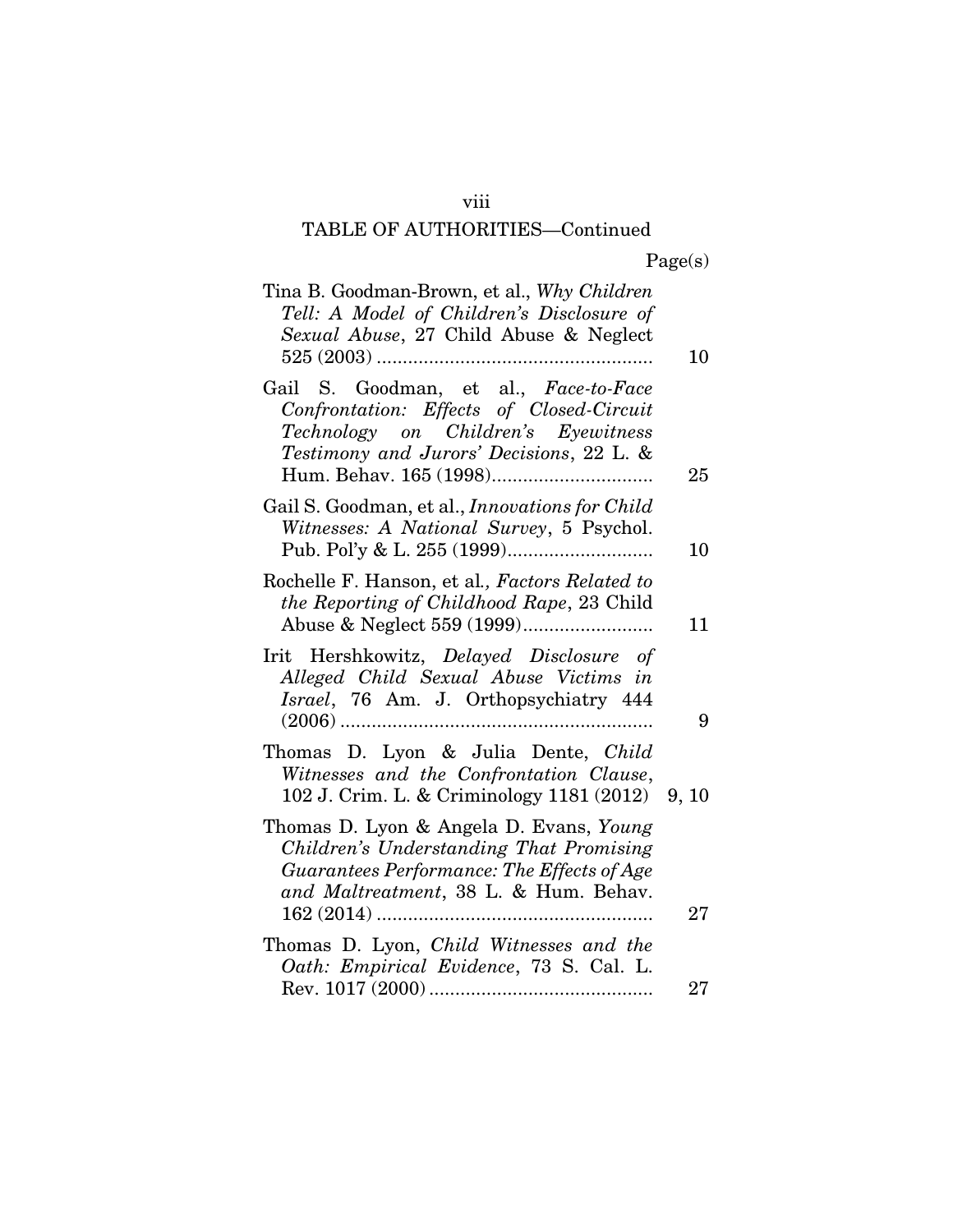## viii

# TABLE OF AUTHORITIES—Continued

|  | Page(s) |
|--|---------|
|  |         |

| Tina B. Goodman-Brown, et al., Why Children<br>Tell: A Model of Children's Disclosure of<br>Sexual Abuse, 27 Child Abuse & Neglect                                        | 10 |
|---------------------------------------------------------------------------------------------------------------------------------------------------------------------------|----|
| Gail S. Goodman, et al., Face-to-Face<br>Confrontation: Effects of Closed-Circuit<br>Technology on Children's Eyewitness<br>Testimony and Jurors' Decisions, 22 L. &      | 25 |
| Gail S. Goodman, et al., <i>Innovations for Child</i><br>Witnesses: A National Survey, 5 Psychol.                                                                         | 10 |
| Rochelle F. Hanson, et al., Factors Related to<br>the Reporting of Childhood Rape, 23 Child                                                                               | 11 |
| Irit Hershkowitz, Delayed Disclosure of<br>Alleged Child Sexual Abuse Victims in<br>Israel, 76 Am. J. Orthopsychiatry 444                                                 | 9  |
| Thomas D. Lyon & Julia Dente, Child<br>Witnesses and the Confrontation Clause,<br>102 J. Crim. L. & Criminology 1181 (2012) 9, 10                                         |    |
| Thomas D. Lyon & Angela D. Evans, Young<br>Children's Understanding That Promising<br>Guarantees Performance: The Effects of Age<br>and Maltreatment, 38 L. & Hum. Behav. | 27 |
| Thomas D. Lyon, Child Witnesses and the<br>Oath: Empirical Evidence, 73 S. Cal. L.                                                                                        |    |
|                                                                                                                                                                           | 27 |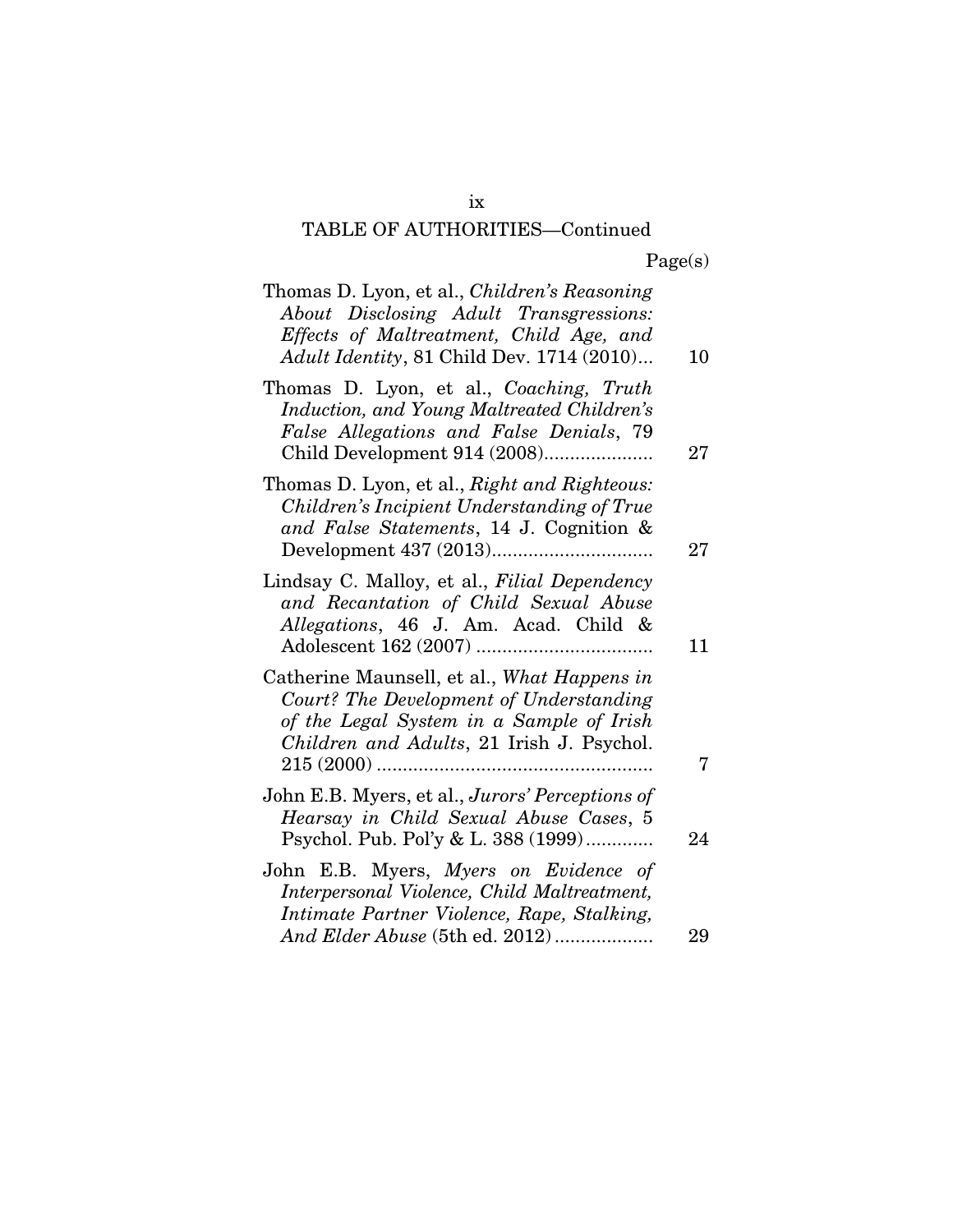# TABLE OF AUTHORITIES—Continued

| Thomas D. Lyon, et al., <i>Children's Reasoning</i><br>About Disclosing Adult Transgressions:<br>Effects of Maltreatment, Child Age, and<br>Adult Identity, 81 Child Dev. 1714 (2010)          | 10 |
|------------------------------------------------------------------------------------------------------------------------------------------------------------------------------------------------|----|
| Thomas D. Lyon, et al., Coaching, Truth<br>Induction, and Young Maltreated Children's<br>False Allegations and False Denials, 79<br>Child Development 914 (2008)                               | 27 |
| Thomas D. Lyon, et al., Right and Righteous:<br>Children's Incipient Understanding of True<br>and False Statements, 14 J. Cognition &                                                          | 27 |
| Lindsay C. Malloy, et al., Filial Dependency<br>and Recantation of Child Sexual Abuse<br>Allegations, 46 J. Am. Acad. Child &                                                                  | 11 |
| Catherine Maunsell, et al., What Happens in<br>Court? The Development of Understanding<br>of the Legal System in a Sample of Irish<br>Children and Adults, 21 Irish J. Psychol.<br>$215(2000)$ | 7  |
| John E.B. Myers, et al., Jurors' Perceptions of<br>Hearsay in Child Sexual Abuse Cases, 5<br>Psychol. Pub. Pol'y & L. 388 (1999)                                                               | 24 |
| John E.B. Myers, Myers on Evidence of<br>Interpersonal Violence, Child Maltreatment,<br>Intimate Partner Violence, Rape, Stalking,<br>And Elder Abuse (5th ed. 2012)                           | 29 |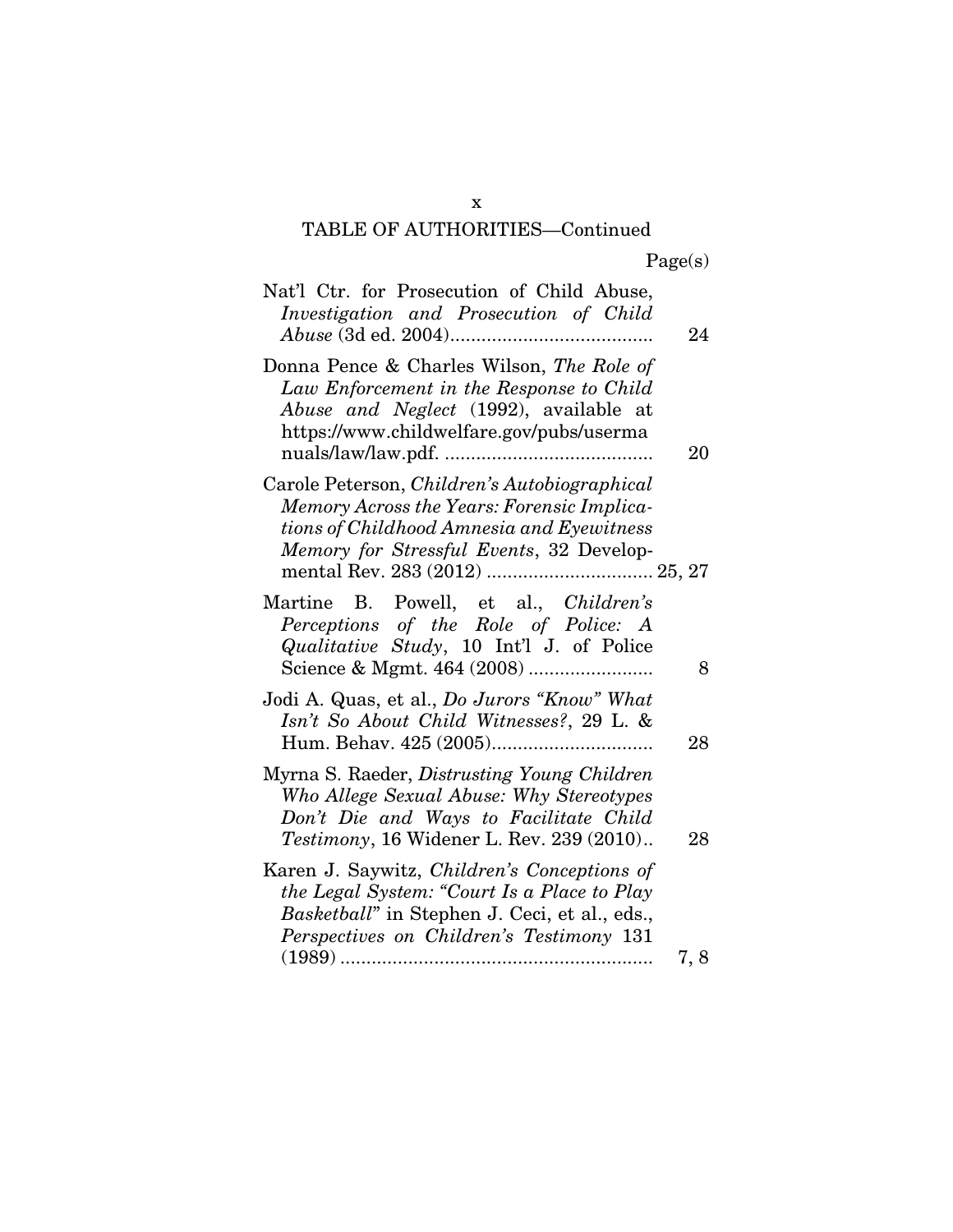## x TABLE OF AUTHORITIES—Continued

| Nat'l Ctr. for Prosecution of Child Abuse,<br>Investigation and Prosecution of Child                                                                                                                                  | 24   |
|-----------------------------------------------------------------------------------------------------------------------------------------------------------------------------------------------------------------------|------|
| Donna Pence & Charles Wilson, The Role of<br>Law Enforcement in the Response to Child<br>Abuse and Neglect (1992), available at<br>https://www.childwelfare.gov/pubs/userma                                           | 20   |
| Carole Peterson, Children's Autobiographical<br>Memory Across the Years: Forensic Implica-<br>tions of Childhood Amnesia and Eyewitness<br>Memory for Stressful Events, 32 Develop-<br>mental Rev. 283 (2012)  25, 27 |      |
| Martine B. Powell, et al., Children's<br>Perceptions of the Role of Police: A<br><i>Qualitative Study</i> , 10 Int'l J. of Police                                                                                     | 8    |
| Jodi A. Quas, et al., Do Jurors "Know" What<br>Isn't So About Child Witnesses?, 29 L. &                                                                                                                               | 28   |
| Myrna S. Raeder, <i>Distrusting Young Children</i><br>Who Allege Sexual Abuse: Why Stereotypes<br>Don't Die and Ways to Facilitate Child<br>Testimony, 16 Widener L. Rev. 239 (2010)                                  | 28   |
| Karen J. Saywitz, Children's Conceptions of<br>the Legal System: "Court Is a Place to Play<br>Basketball" in Stephen J. Ceci, et al., eds.,<br>Perspectives on Children's Testimony 131                               |      |
|                                                                                                                                                                                                                       | 7, 8 |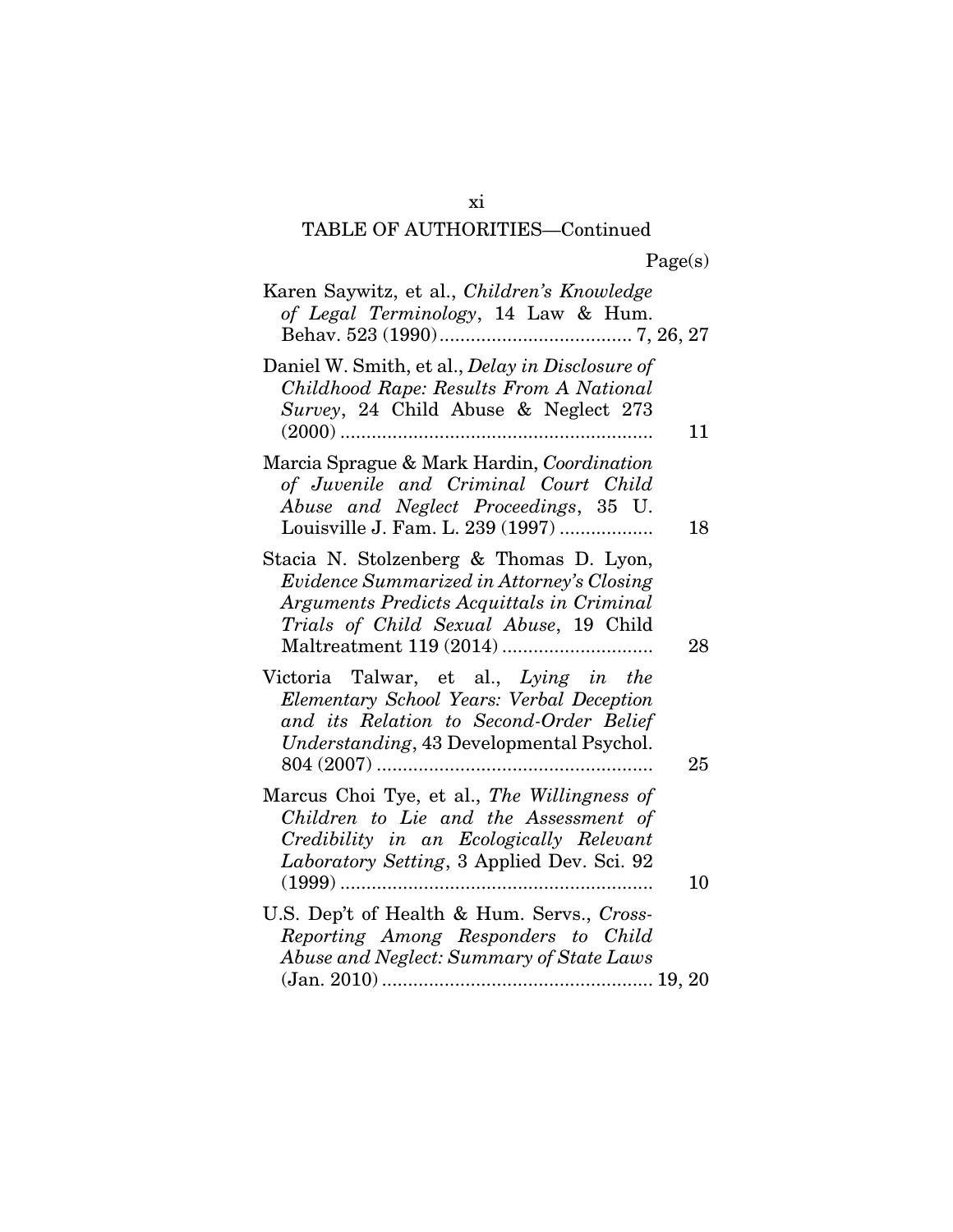# TABLE OF AUTHORITIES—Continued

| Karen Saywitz, et al., Children's Knowledge<br>of Legal Terminology, 14 Law & Hum.                                                                                                  |
|-------------------------------------------------------------------------------------------------------------------------------------------------------------------------------------|
| Daniel W. Smith, et al., Delay in Disclosure of<br>Childhood Rape: Results From A National<br>Survey, 24 Child Abuse & Neglect 273<br>11                                            |
| Marcia Sprague & Mark Hardin, Coordination<br>of Juvenile and Criminal Court Child<br>Abuse and Neglect Proceedings, 35 U.<br>Louisville J. Fam. L. 239 (1997)<br>18                |
| Stacia N. Stolzenberg & Thomas D. Lyon,<br>Evidence Summarized in Attorney's Closing<br>Arguments Predicts Acquittals in Criminal<br>Trials of Child Sexual Abuse, 19 Child<br>28   |
| Victoria Talwar, et al., Lying in the<br>Elementary School Years: Verbal Deception<br>and its Relation to Second-Order Belief<br>Understanding, 43 Developmental Psychol.<br>25     |
| Marcus Choi Tye, et al., The Willingness of<br>Children to Lie and the Assessment of<br>Credibility in an Ecologically Relevant<br>Laboratory Setting, 3 Applied Dev. Sci. 92<br>10 |
| U.S. Dep't of Health & Hum. Servs., Cross-<br>Reporting Among Responders to Child<br>Abuse and Neglect: Summary of State Laws                                                       |

xi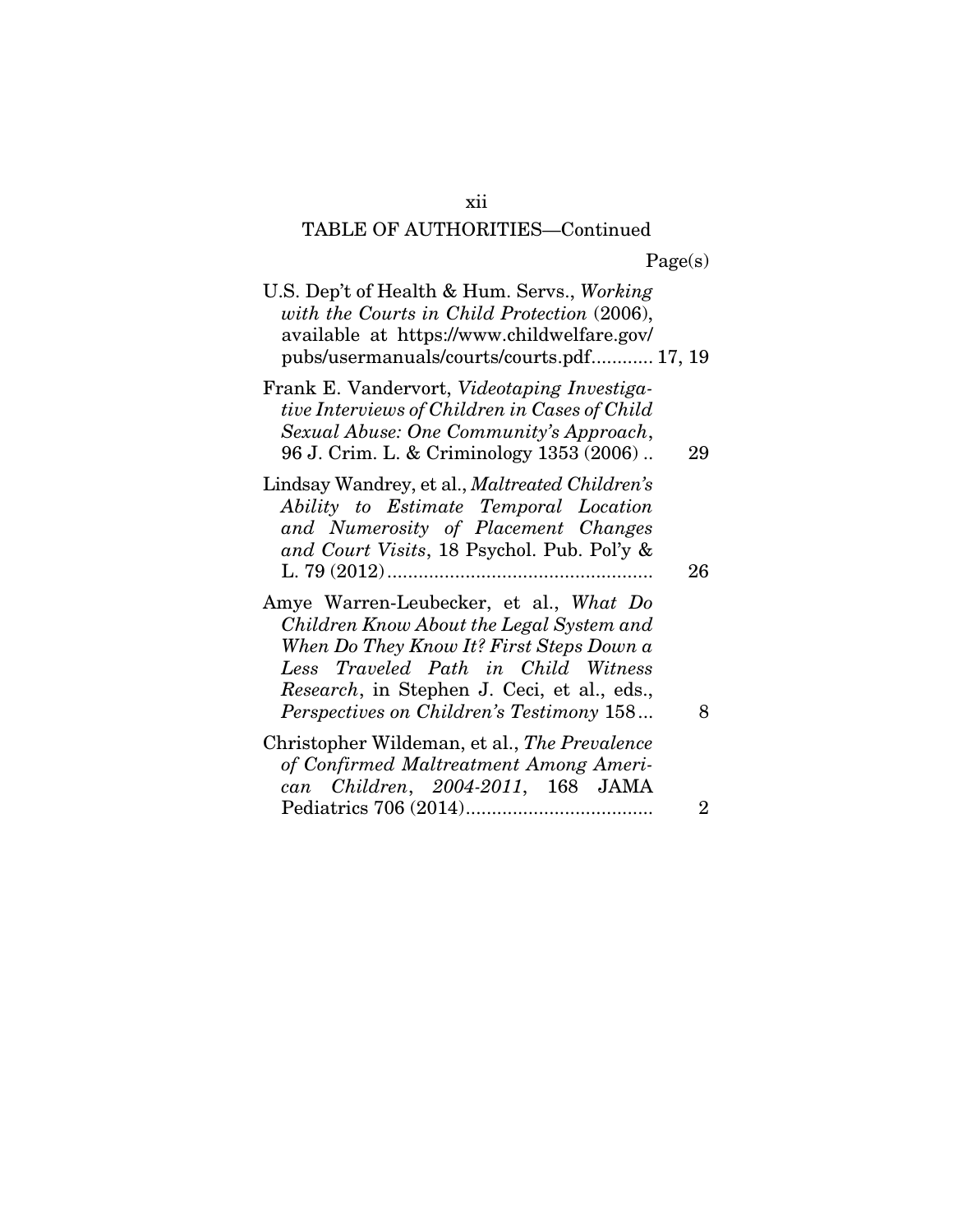# TABLE OF AUTHORITIES—Continued

| U.S. Dep't of Health & Hum. Servs., Working<br>with the Courts in Child Protection (2006),<br>available at https://www.childwelfare.gov/<br>pubs/usermanuals/courts/courts.pdf 17, 19                                                                                    |                |
|--------------------------------------------------------------------------------------------------------------------------------------------------------------------------------------------------------------------------------------------------------------------------|----------------|
| Frank E. Vandervort, Videotaping Investiga-<br>tive Interviews of Children in Cases of Child<br>Sexual Abuse: One Community's Approach,<br>96 J. Crim. L. & Criminology 1353 (2006)                                                                                      | 29             |
| Lindsay Wandrey, et al., <i>Maltreated Children's</i><br>Ability to Estimate Temporal Location<br>and Numerosity of Placement Changes<br>and Court Visits, 18 Psychol. Pub. Pol'y &                                                                                      | 26             |
| Amye Warren-Leubecker, et al., What Do<br>Children Know About the Legal System and<br>When Do They Know It? First Steps Down a<br>Less Traveled Path in Child Witness<br><i>Research</i> , in Stephen J. Ceci, et al., eds.,<br>Perspectives on Children's Testimony 158 | 8              |
| Christopher Wildeman, et al., The Prevalence<br>of Confirmed Maltreatment Among Ameri-<br>can Children, 2004-2011, 168 JAMA                                                                                                                                              |                |
|                                                                                                                                                                                                                                                                          | $\overline{2}$ |

xii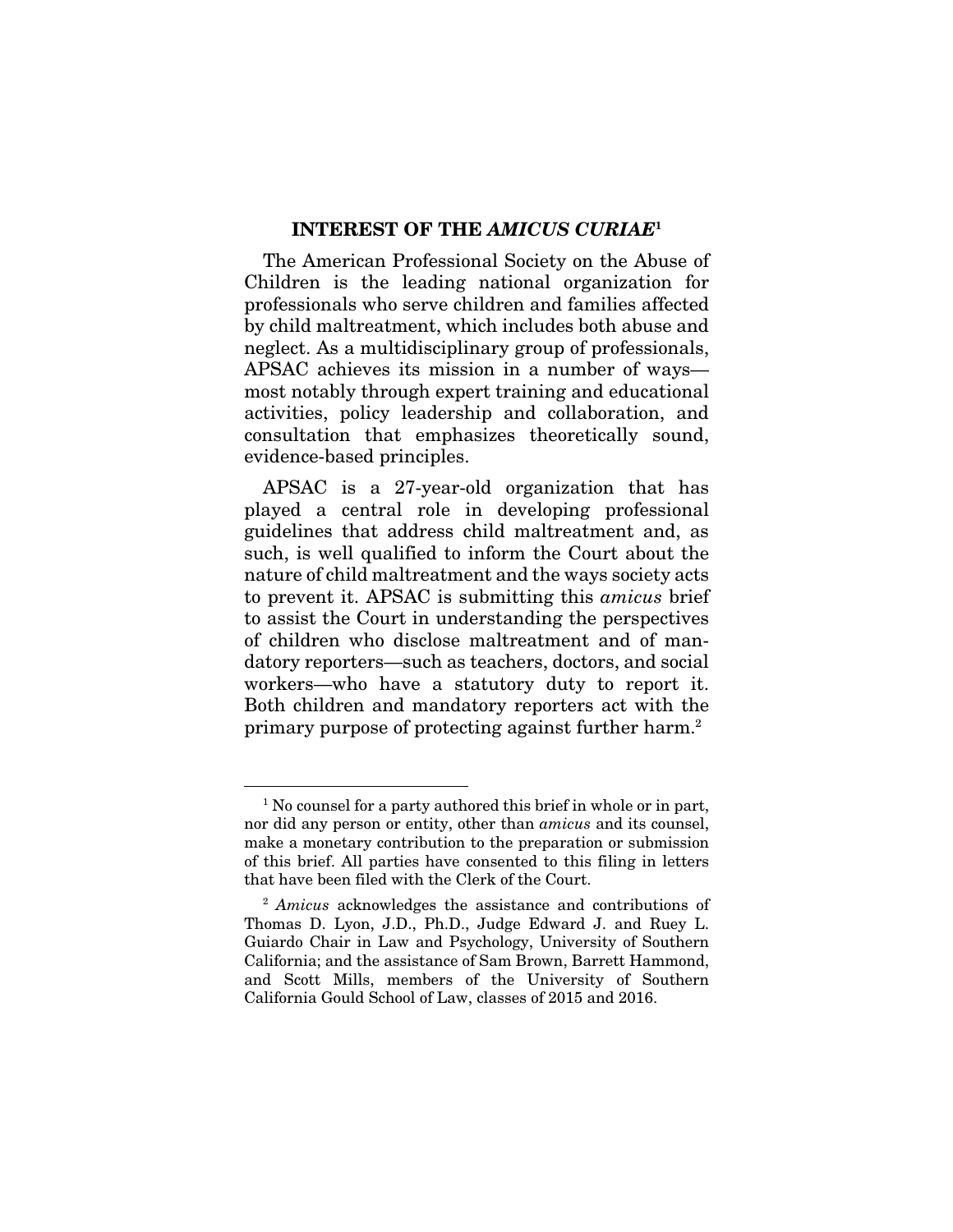#### INTEREST OF THE *AMICUS CURIAE*<sup>1</sup>

The American Professional Society on the Abuse of Children is the leading national organization for professionals who serve children and families affected by child maltreatment, which includes both abuse and neglect. As a multidisciplinary group of professionals, APSAC achieves its mission in a number of ways most notably through expert training and educational activities, policy leadership and collaboration, and consultation that emphasizes theoretically sound, evidence-based principles.

APSAC is a 27-year-old organization that has played a central role in developing professional guidelines that address child maltreatment and, as such, is well qualified to inform the Court about the nature of child maltreatment and the ways society acts to prevent it. APSAC is submitting this *amicus* brief to assist the Court in understanding the perspectives of children who disclose maltreatment and of mandatory reporters—such as teachers, doctors, and social workers—who have a statutory duty to report it. Both children and mandatory reporters act with the primary purpose of protecting against further harm.2

 <sup>1</sup> No counsel for a party authored this brief in whole or in part, nor did any person or entity, other than *amicus* and its counsel, make a monetary contribution to the preparation or submission of this brief. All parties have consented to this filing in letters that have been filed with the Clerk of the Court.

<sup>2</sup> *Amicus* acknowledges the assistance and contributions of Thomas D. Lyon, J.D., Ph.D., Judge Edward J. and Ruey L. Guiardo Chair in Law and Psychology, University of Southern California; and the assistance of Sam Brown, Barrett Hammond, and Scott Mills, members of the University of Southern California Gould School of Law, classes of 2015 and 2016.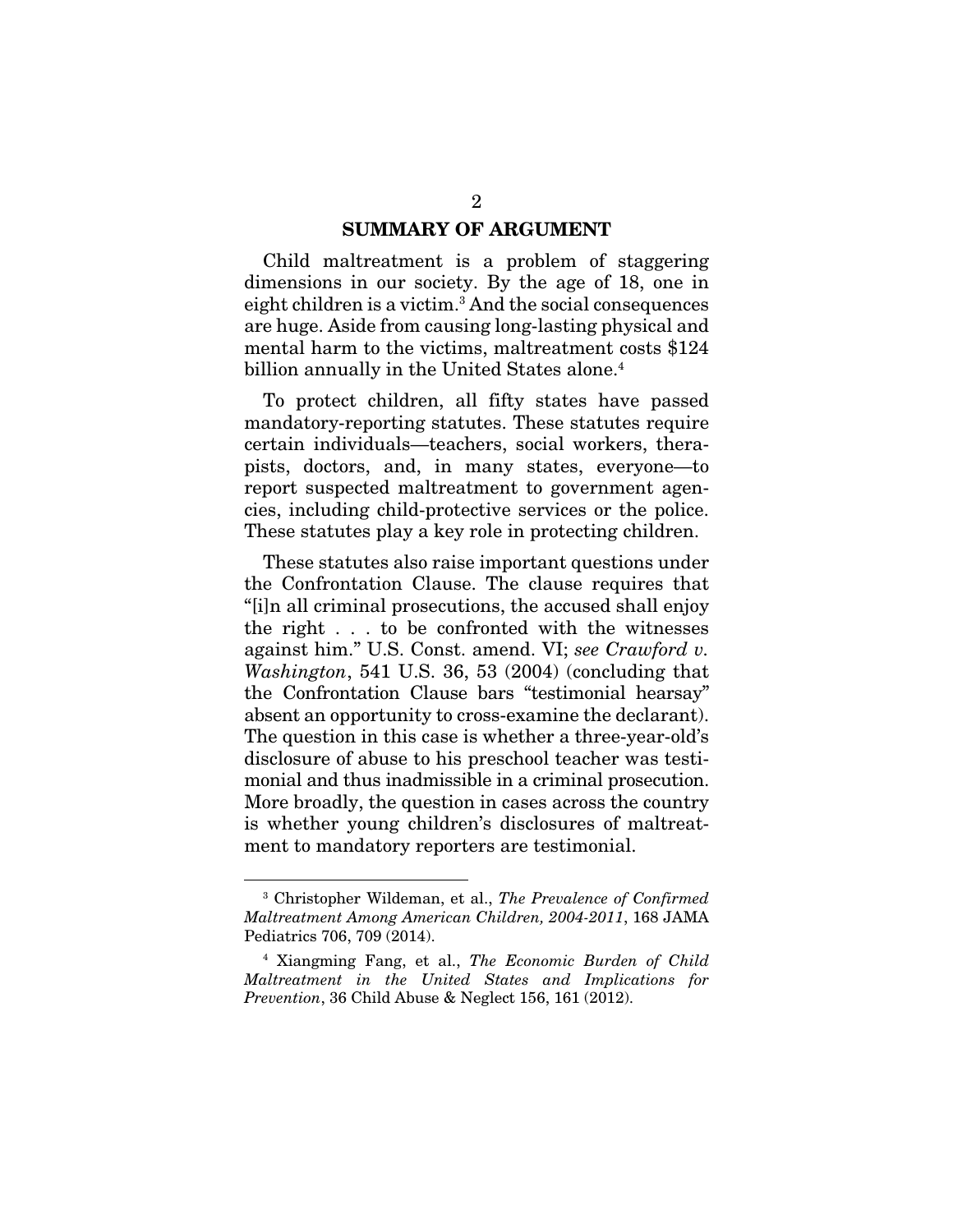#### SUMMARY OF ARGUMENT

Child maltreatment is a problem of staggering dimensions in our society. By the age of 18, one in eight children is a victim.<sup>3</sup> And the social consequences are huge. Aside from causing long-lasting physical and mental harm to the victims, maltreatment costs \$124 billion annually in the United States alone.<sup>4</sup>

To protect children, all fifty states have passed mandatory-reporting statutes. These statutes require certain individuals—teachers, social workers, therapists, doctors, and, in many states, everyone—to report suspected maltreatment to government agencies, including child-protective services or the police. These statutes play a key role in protecting children.

These statutes also raise important questions under the Confrontation Clause. The clause requires that "[i]n all criminal prosecutions, the accused shall enjoy the right . . . to be confronted with the witnesses against him." U.S. Const. amend. VI; *see Crawford v. Washington*, 541 U.S. 36, 53 (2004) (concluding that the Confrontation Clause bars "testimonial hearsay" absent an opportunity to cross-examine the declarant). The question in this case is whether a three-year-old's disclosure of abuse to his preschool teacher was testimonial and thus inadmissible in a criminal prosecution. More broadly, the question in cases across the country is whether young children's disclosures of maltreatment to mandatory reporters are testimonial.

 <sup>3</sup> Christopher Wildeman, et al., *The Prevalence of Confirmed Maltreatment Among American Children, 2004-2011*, 168 JAMA Pediatrics 706, 709 (2014).

<sup>4</sup> Xiangming Fang, et al., *The Economic Burden of Child Maltreatment in the United States and Implications for Prevention*, 36 Child Abuse & Neglect 156, 161 (2012).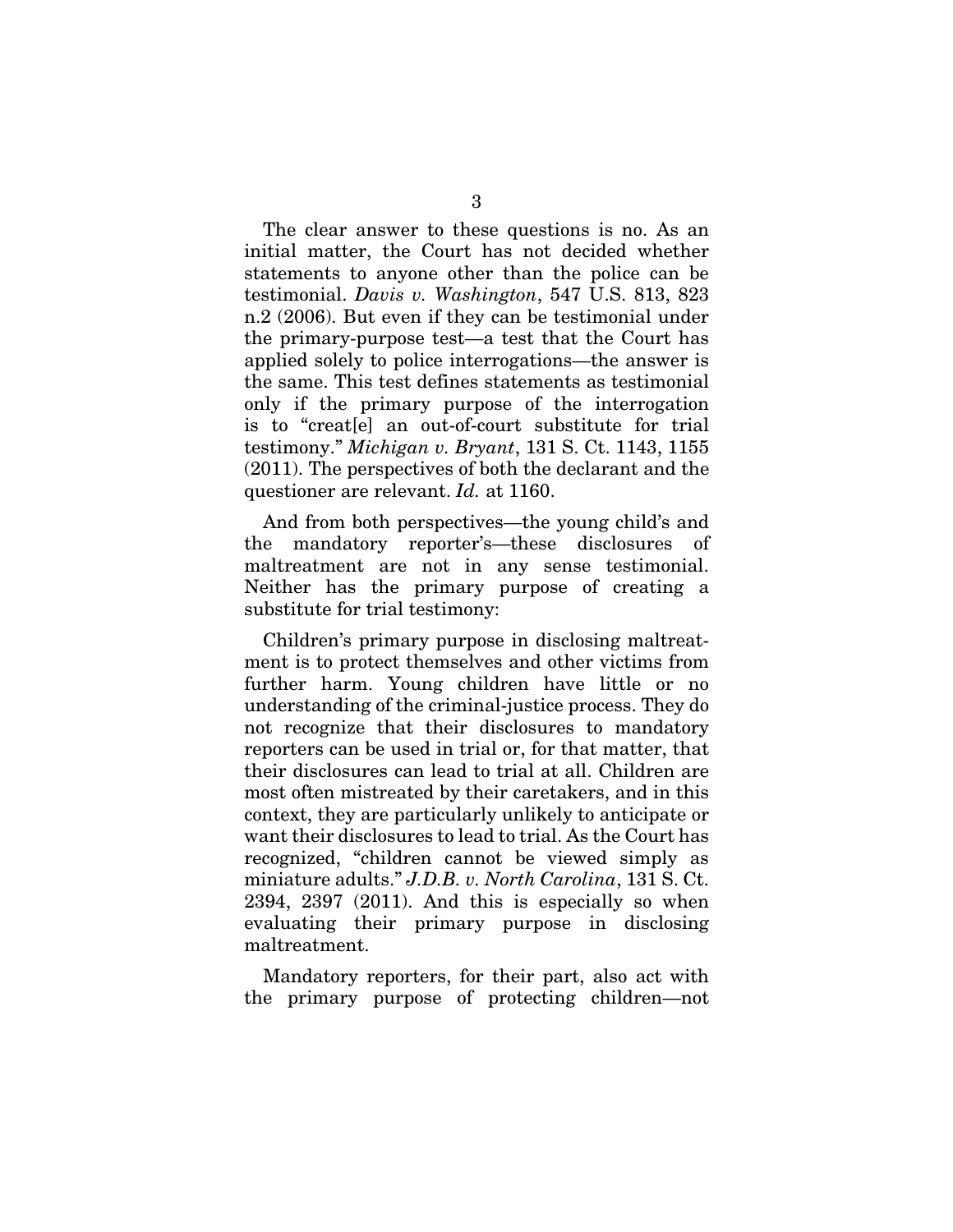The clear answer to these questions is no. As an initial matter, the Court has not decided whether statements to anyone other than the police can be testimonial. *Davis v. Washington*, 547 U.S. 813, 823 n.2 (2006). But even if they can be testimonial under the primary-purpose test—a test that the Court has applied solely to police interrogations—the answer is the same. This test defines statements as testimonial only if the primary purpose of the interrogation is to "creat[e] an out-of-court substitute for trial testimony." *Michigan v. Bryant*, 131 S. Ct. 1143, 1155 (2011). The perspectives of both the declarant and the questioner are relevant. *Id.* at 1160.

And from both perspectives—the young child's and the mandatory reporter's—these disclosures of maltreatment are not in any sense testimonial. Neither has the primary purpose of creating a substitute for trial testimony:

Children's primary purpose in disclosing maltreatment is to protect themselves and other victims from further harm. Young children have little or no understanding of the criminal-justice process. They do not recognize that their disclosures to mandatory reporters can be used in trial or, for that matter, that their disclosures can lead to trial at all. Children are most often mistreated by their caretakers, and in this context, they are particularly unlikely to anticipate or want their disclosures to lead to trial. As the Court has recognized, "children cannot be viewed simply as miniature adults." *J.D.B. v. North Carolina*, 131 S. Ct. 2394, 2397 (2011). And this is especially so when evaluating their primary purpose in disclosing maltreatment.

Mandatory reporters, for their part, also act with the primary purpose of protecting children—not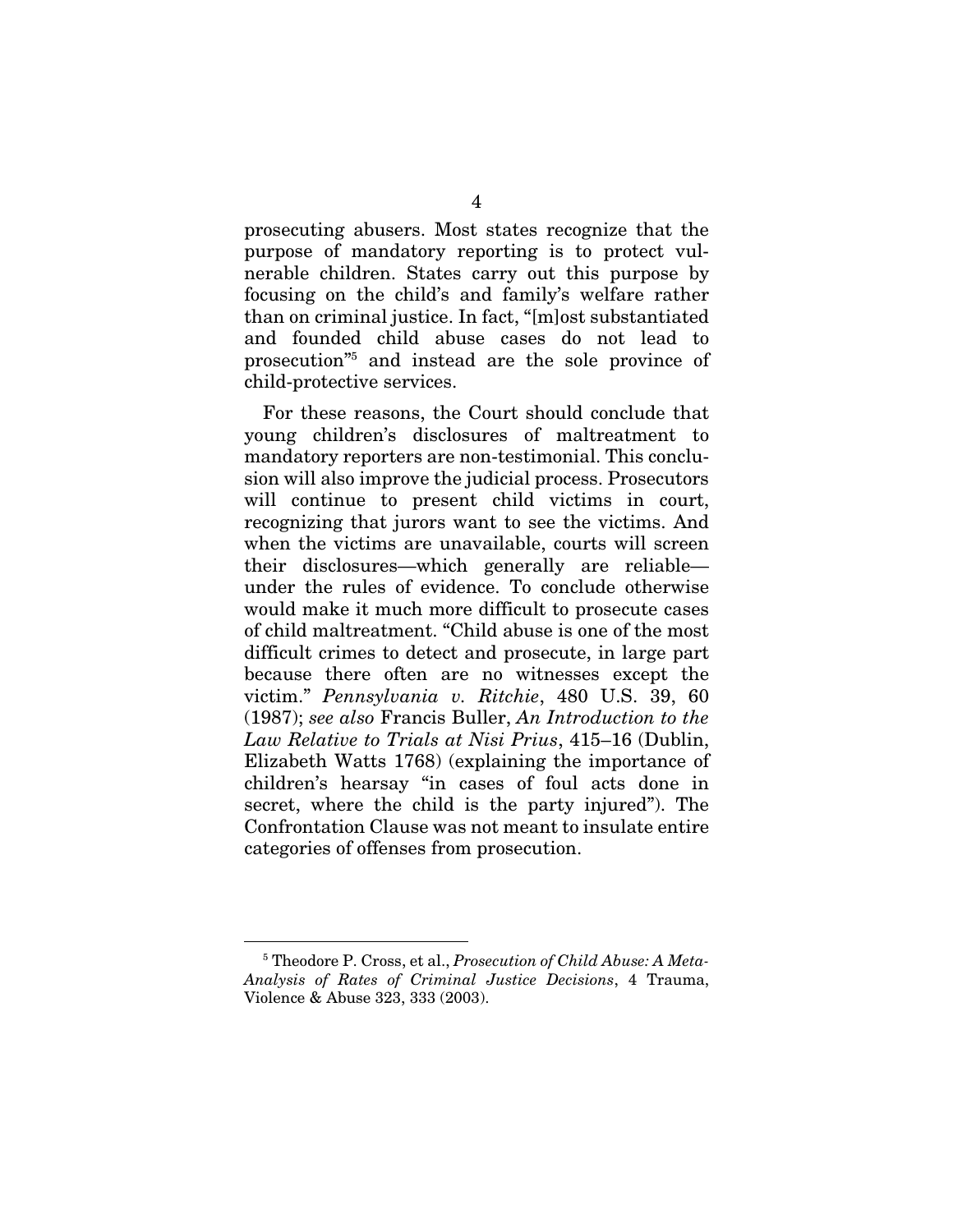prosecuting abusers. Most states recognize that the purpose of mandatory reporting is to protect vulnerable children. States carry out this purpose by focusing on the child's and family's welfare rather than on criminal justice. In fact, "[m]ost substantiated and founded child abuse cases do not lead to prosecution"5 and instead are the sole province of child-protective services.

For these reasons, the Court should conclude that young children's disclosures of maltreatment to mandatory reporters are non-testimonial. This conclusion will also improve the judicial process. Prosecutors will continue to present child victims in court, recognizing that jurors want to see the victims. And when the victims are unavailable, courts will screen their disclosures—which generally are reliable under the rules of evidence. To conclude otherwise would make it much more difficult to prosecute cases of child maltreatment. "Child abuse is one of the most difficult crimes to detect and prosecute, in large part because there often are no witnesses except the victim." *Pennsylvania v. Ritchie*, 480 U.S. 39, 60 (1987); *see also* Francis Buller, *An Introduction to the Law Relative to Trials at Nisi Prius*, 415–16 (Dublin, Elizabeth Watts 1768) (explaining the importance of children's hearsay "in cases of foul acts done in secret, where the child is the party injured"). The Confrontation Clause was not meant to insulate entire categories of offenses from prosecution.

 <sup>5</sup> Theodore P. Cross, et al., *Prosecution of Child Abuse: A Meta-Analysis of Rates of Criminal Justice Decisions*, 4 Trauma, Violence & Abuse 323, 333 (2003).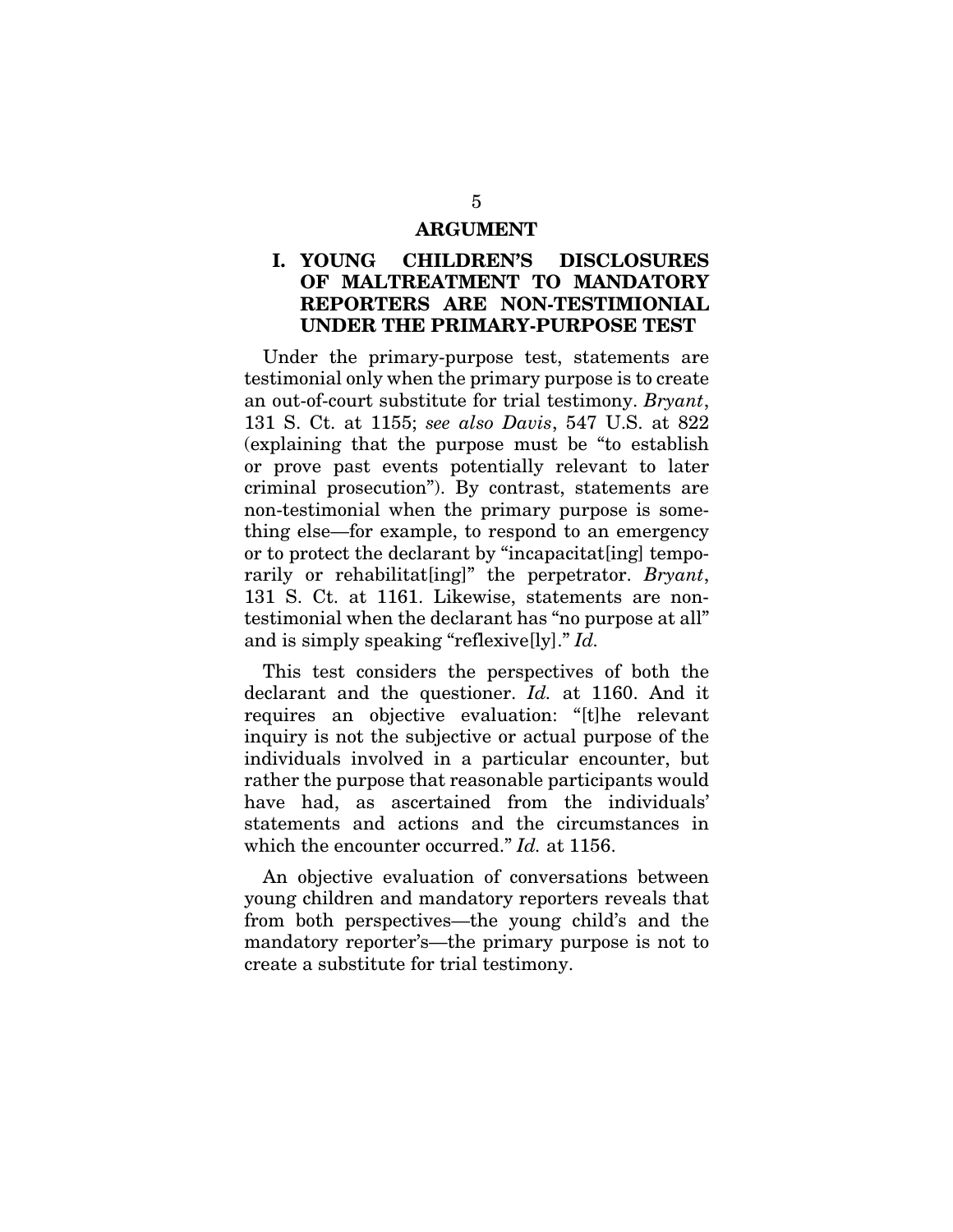#### ARGUMENT

### I. YOUNG CHILDREN'S DISCLOSURES OF MALTREATMENT TO MANDATORY REPORTERS ARE NON-TESTIMIONIAL UNDER THE PRIMARY-PURPOSE TEST

Under the primary-purpose test, statements are testimonial only when the primary purpose is to create an out-of-court substitute for trial testimony. *Bryant*, 131 S. Ct. at 1155; *see also Davis*, 547 U.S. at 822 (explaining that the purpose must be "to establish or prove past events potentially relevant to later criminal prosecution"). By contrast, statements are non-testimonial when the primary purpose is something else—for example, to respond to an emergency or to protect the declarant by "incapacitat[ing] temporarily or rehabilitat[ing]" the perpetrator. *Bryant*, 131 S. Ct. at 1161. Likewise, statements are nontestimonial when the declarant has "no purpose at all" and is simply speaking "reflexive[ly]." *Id.*

This test considers the perspectives of both the declarant and the questioner. *Id.* at 1160. And it requires an objective evaluation: "[t]he relevant inquiry is not the subjective or actual purpose of the individuals involved in a particular encounter, but rather the purpose that reasonable participants would have had, as ascertained from the individuals' statements and actions and the circumstances in which the encounter occurred." *Id.* at 1156.

An objective evaluation of conversations between young children and mandatory reporters reveals that from both perspectives—the young child's and the mandatory reporter's—the primary purpose is not to create a substitute for trial testimony.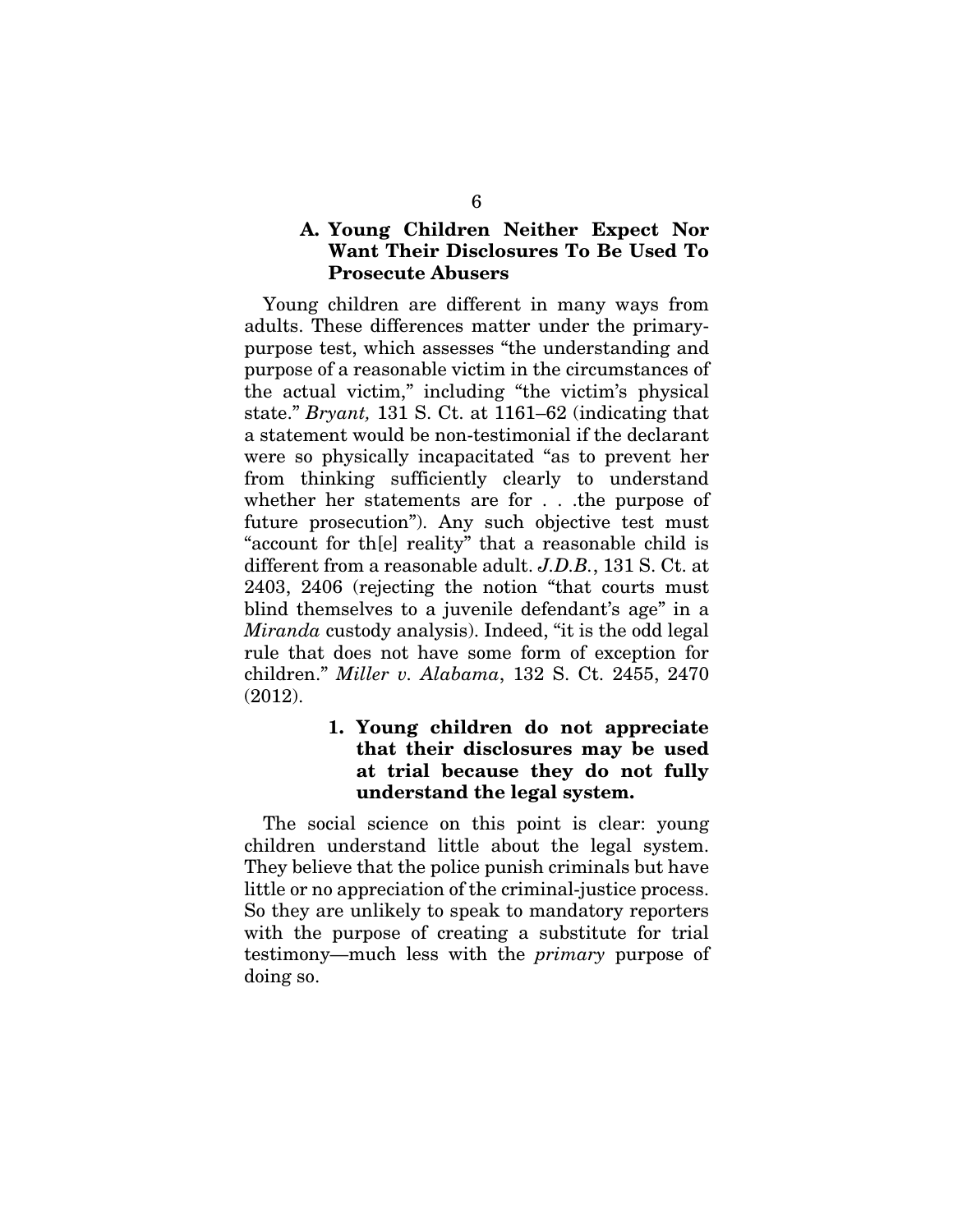## A. Young Children Neither Expect Nor Want Their Disclosures To Be Used To Prosecute Abusers

Young children are different in many ways from adults. These differences matter under the primarypurpose test, which assesses "the understanding and purpose of a reasonable victim in the circumstances of the actual victim," including "the victim's physical state." *Bryant,* 131 S. Ct. at 1161–62 (indicating that a statement would be non-testimonial if the declarant were so physically incapacitated "as to prevent her from thinking sufficiently clearly to understand whether her statements are for . . .the purpose of future prosecution"). Any such objective test must "account for th[e] reality" that a reasonable child is different from a reasonable adult. *J.D.B.*, 131 S. Ct. at 2403, 2406 (rejecting the notion "that courts must blind themselves to a juvenile defendant's age" in a *Miranda* custody analysis). Indeed, "it is the odd legal rule that does not have some form of exception for children." *Miller v. Alabama*, 132 S. Ct. 2455, 2470 (2012).

## 1. Young children do not appreciate that their disclosures may be used at trial because they do not fully understand the legal system.

The social science on this point is clear: young children understand little about the legal system. They believe that the police punish criminals but have little or no appreciation of the criminal-justice process. So they are unlikely to speak to mandatory reporters with the purpose of creating a substitute for trial testimony—much less with the *primary* purpose of doing so.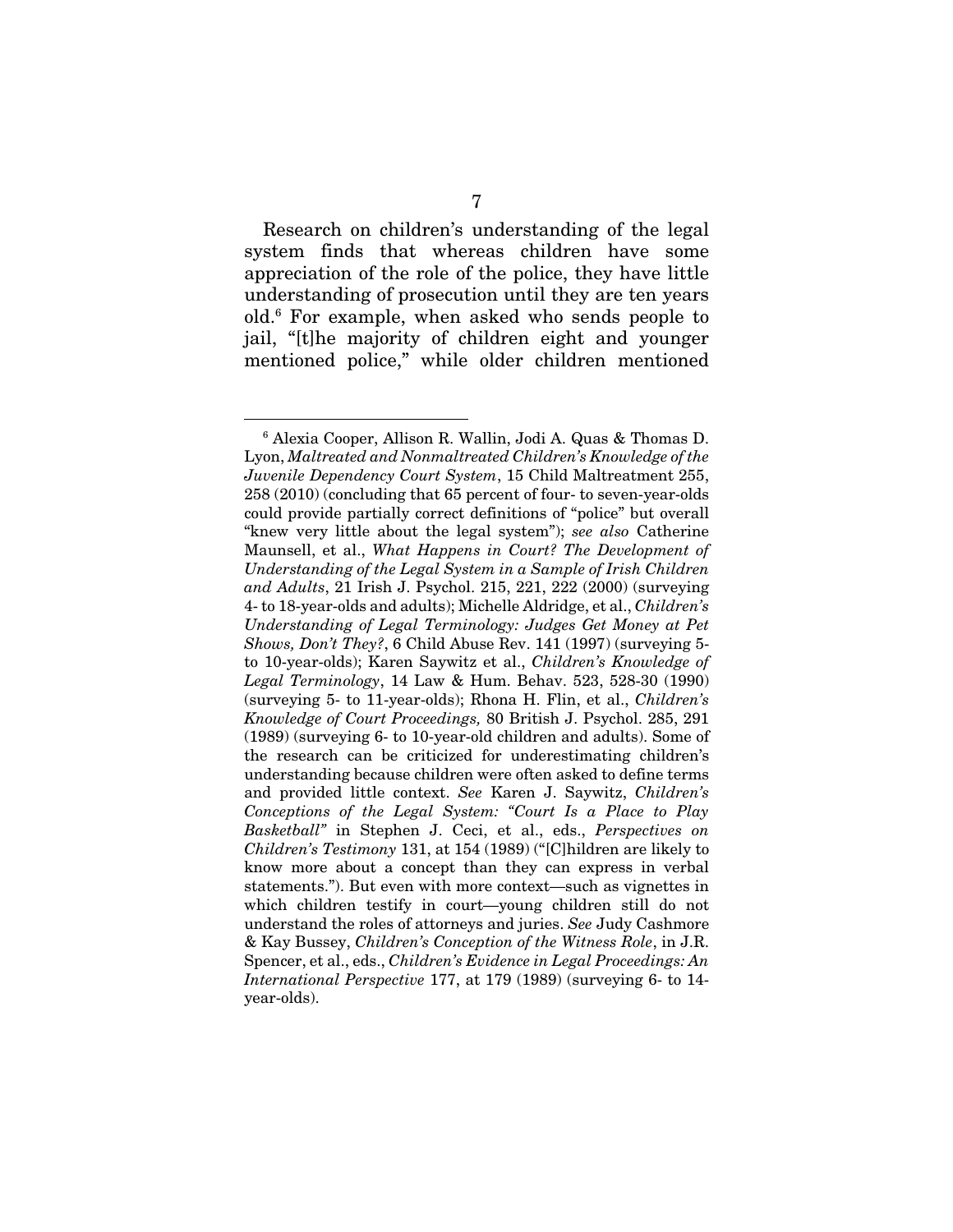Research on children's understanding of the legal system finds that whereas children have some appreciation of the role of the police, they have little understanding of prosecution until they are ten years old.6 For example, when asked who sends people to jail, "[t]he majority of children eight and younger mentioned police," while older children mentioned

 <sup>6</sup> Alexia Cooper, Allison R. Wallin, Jodi A. Quas & Thomas D. Lyon, *Maltreated and Nonmaltreated Children's Knowledge of the Juvenile Dependency Court System*, 15 Child Maltreatment 255, 258 (2010) (concluding that 65 percent of four- to seven-year-olds could provide partially correct definitions of "police" but overall "knew very little about the legal system"); *see also* Catherine Maunsell, et al., *What Happens in Court? The Development of Understanding of the Legal System in a Sample of Irish Children and Adults*, 21 Irish J. Psychol. 215, 221, 222 (2000) (surveying 4- to 18-year-olds and adults); Michelle Aldridge, et al., *Children's Understanding of Legal Terminology: Judges Get Money at Pet Shows, Don't They?, 6 Child Abuse Rev.* 141 (1997) (surveying 5to 10-year-olds); Karen Saywitz et al., *Children's Knowledge of Legal Terminology*, 14 Law & Hum. Behav. 523, 528-30 (1990) (surveying 5- to 11-year-olds); Rhona H. Flin, et al., *Children's Knowledge of Court Proceedings,* 80 British J. Psychol. 285, 291 (1989) (surveying 6- to 10-year-old children and adults). Some of the research can be criticized for underestimating children's understanding because children were often asked to define terms and provided little context. *See* Karen J. Saywitz, *Children's Conceptions of the Legal System: "Court Is a Place to Play Basketball"* in Stephen J. Ceci, et al., eds., *Perspectives on Children's Testimony* 131, at 154 (1989) ("[C]hildren are likely to know more about a concept than they can express in verbal statements."). But even with more context—such as vignettes in which children testify in court—young children still do not understand the roles of attorneys and juries. *See* Judy Cashmore & Kay Bussey, *Children's Conception of the Witness Role*, in J.R. Spencer, et al., eds., *Children's Evidence in Legal Proceedings: An International Perspective* 177, at 179 (1989) (surveying 6- to 14 year-olds).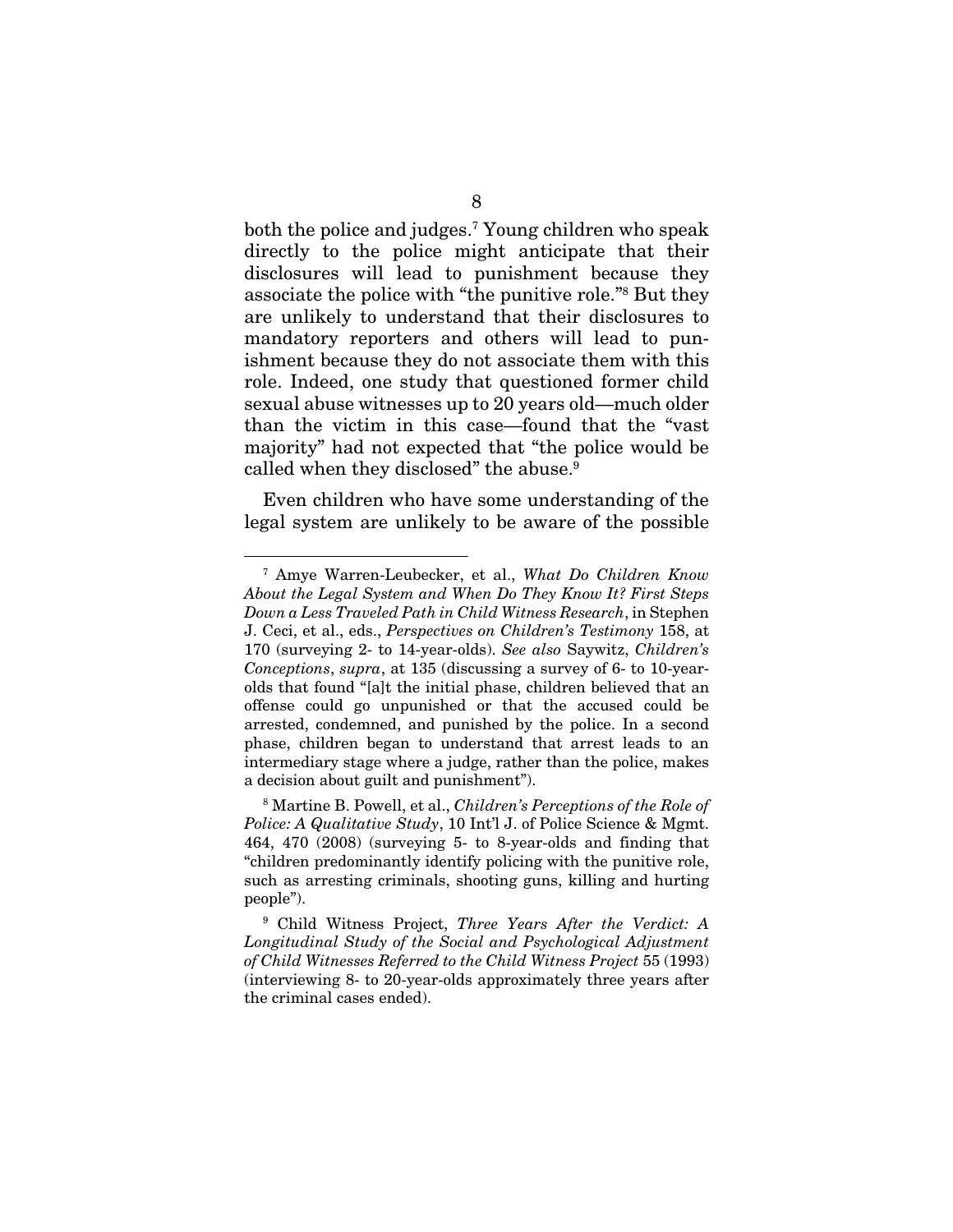both the police and judges.7 Young children who speak directly to the police might anticipate that their disclosures will lead to punishment because they associate the police with "the punitive role."8 But they are unlikely to understand that their disclosures to mandatory reporters and others will lead to punishment because they do not associate them with this role. Indeed, one study that questioned former child sexual abuse witnesses up to 20 years old—much older than the victim in this case—found that the "vast majority" had not expected that "the police would be called when they disclosed" the abuse.<sup>9</sup>

Even children who have some understanding of the legal system are unlikely to be aware of the possible

 <sup>7</sup> Amye Warren-Leubecker, et al., *What Do Children Know About the Legal System and When Do They Know It? First Steps Down a Less Traveled Path in Child Witness Research*, in Stephen J. Ceci, et al., eds., *Perspectives on Children's Testimony* 158, at 170 (surveying 2- to 14-year-olds). *See also* Saywitz, *Children's Conceptions*, *supra*, at 135 (discussing a survey of 6- to 10-yearolds that found "[a]t the initial phase, children believed that an offense could go unpunished or that the accused could be arrested, condemned, and punished by the police. In a second phase, children began to understand that arrest leads to an intermediary stage where a judge, rather than the police, makes a decision about guilt and punishment").

<sup>8</sup> Martine B. Powell, et al., *Children's Perceptions of the Role of Police: A Qualitative Study*, 10 Int'l J. of Police Science & Mgmt. 464, 470 (2008) (surveying 5- to 8-year-olds and finding that "children predominantly identify policing with the punitive role, such as arresting criminals, shooting guns, killing and hurting people").

<sup>9</sup> Child Witness Project, *Three Years After the Verdict: A Longitudinal Study of the Social and Psychological Adjustment of Child Witnesses Referred to the Child Witness Project* 55 (1993) (interviewing 8- to 20-year-olds approximately three years after the criminal cases ended).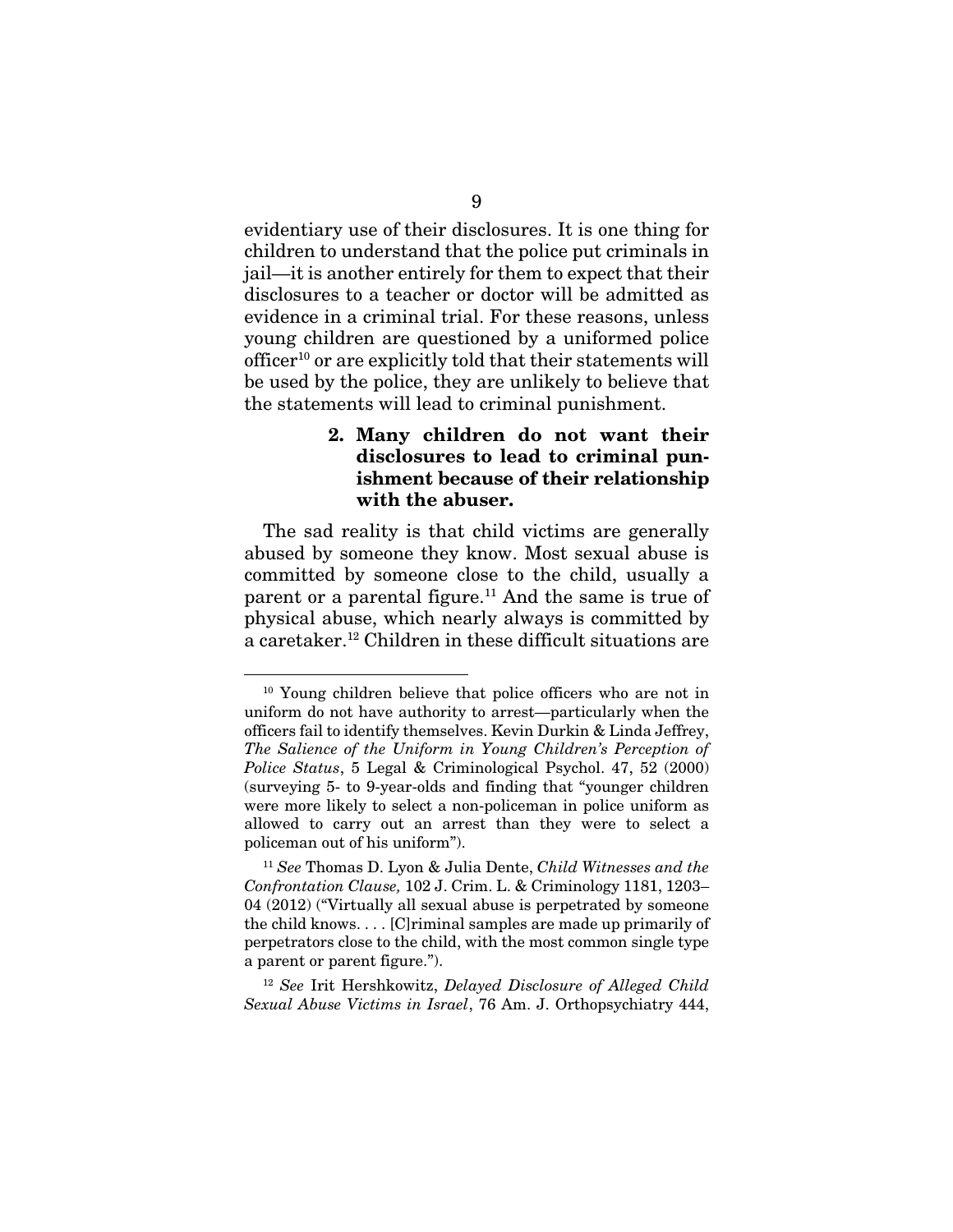evidentiary use of their disclosures. It is one thing for children to understand that the police put criminals in jail—it is another entirely for them to expect that their disclosures to a teacher or doctor will be admitted as evidence in a criminal trial. For these reasons, unless young children are questioned by a uniformed police officer10 or are explicitly told that their statements will be used by the police, they are unlikely to believe that the statements will lead to criminal punishment.

## 2. Many children do not want their disclosures to lead to criminal punishment because of their relationship with the abuser.

The sad reality is that child victims are generally abused by someone they know. Most sexual abuse is committed by someone close to the child, usually a parent or a parental figure.<sup>11</sup> And the same is true of physical abuse, which nearly always is committed by a caretaker.12 Children in these difficult situations are

<sup>12</sup> *See* Irit Hershkowitz, *Delayed Disclosure of Alleged Child Sexual Abuse Victims in Israel*, 76 Am. J. Orthopsychiatry 444,

<sup>&</sup>lt;sup>10</sup> Young children believe that police officers who are not in uniform do not have authority to arrest—particularly when the officers fail to identify themselves. Kevin Durkin & Linda Jeffrey, *The Salience of the Uniform in Young Children's Perception of Police Status*, 5 Legal & Criminological Psychol. 47, 52 (2000) (surveying 5- to 9-year-olds and finding that "younger children were more likely to select a non-policeman in police uniform as allowed to carry out an arrest than they were to select a policeman out of his uniform").

<sup>11</sup> *See* Thomas D. Lyon & Julia Dente, *Child Witnesses and the Confrontation Clause,* 102 J. Crim. L. & Criminology 1181, 1203– 04 (2012) ("Virtually all sexual abuse is perpetrated by someone the child knows. . . . [C]riminal samples are made up primarily of perpetrators close to the child, with the most common single type a parent or parent figure.").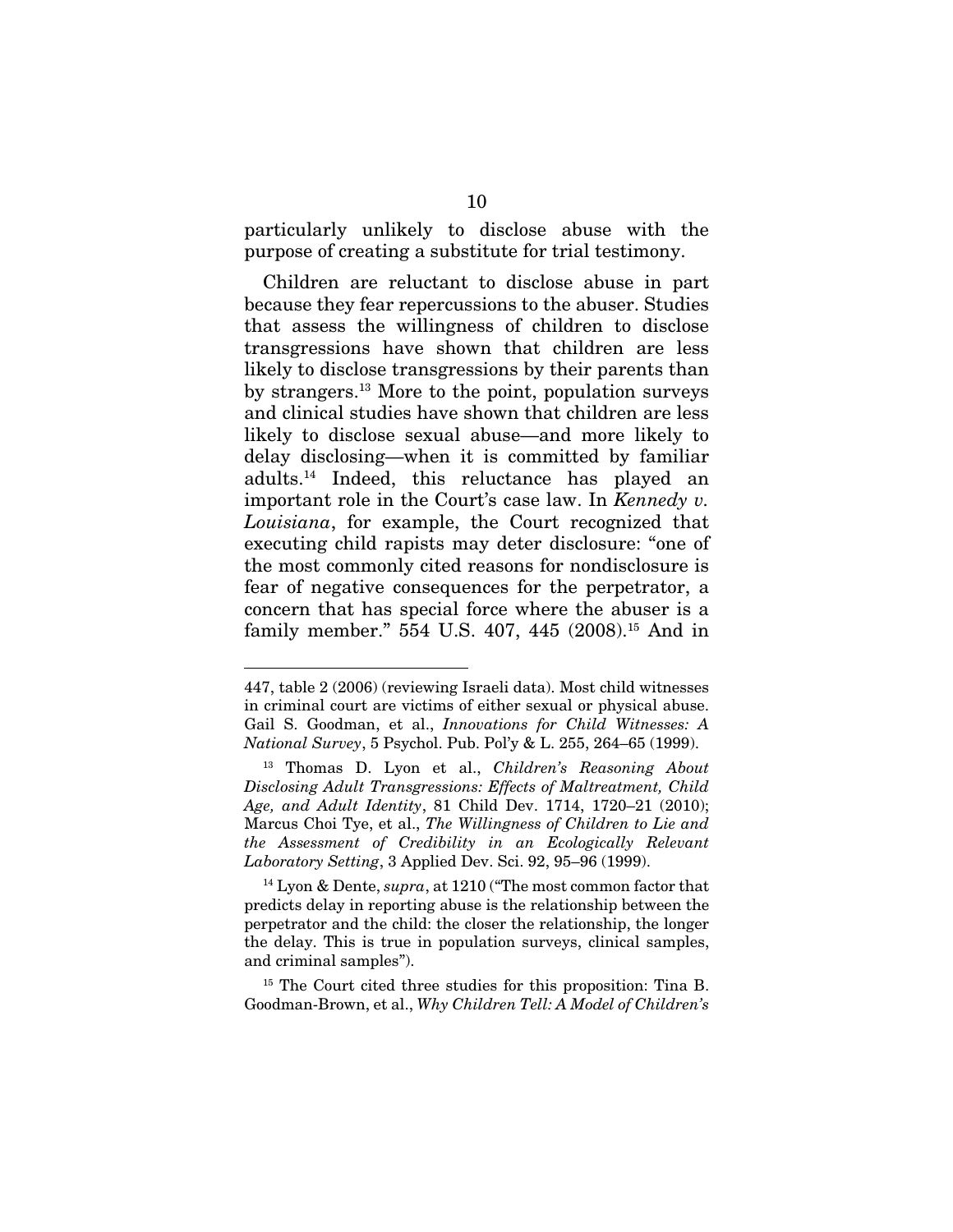particularly unlikely to disclose abuse with the purpose of creating a substitute for trial testimony.

Children are reluctant to disclose abuse in part because they fear repercussions to the abuser. Studies that assess the willingness of children to disclose transgressions have shown that children are less likely to disclose transgressions by their parents than by strangers.13 More to the point, population surveys and clinical studies have shown that children are less likely to disclose sexual abuse—and more likely to delay disclosing—when it is committed by familiar adults.14 Indeed, this reluctance has played an important role in the Court's case law. In *Kennedy v. Louisiana*, for example, the Court recognized that executing child rapists may deter disclosure: "one of the most commonly cited reasons for nondisclosure is fear of negative consequences for the perpetrator, a concern that has special force where the abuser is a family member." 554 U.S. 407, 445 (2008).<sup>15</sup> And in

-

<sup>447,</sup> table 2 (2006) (reviewing Israeli data). Most child witnesses in criminal court are victims of either sexual or physical abuse. Gail S. Goodman, et al., *Innovations for Child Witnesses: A National Survey*, 5 Psychol. Pub. Pol'y & L. 255, 264–65 (1999).

<sup>13</sup> Thomas D. Lyon et al., *Children's Reasoning About Disclosing Adult Transgressions: Effects of Maltreatment, Child Age, and Adult Identity*, 81 Child Dev. 1714, 1720–21 (2010); Marcus Choi Tye, et al., *The Willingness of Children to Lie and the Assessment of Credibility in an Ecologically Relevant Laboratory Setting*, 3 Applied Dev. Sci. 92, 95–96 (1999).

<sup>14</sup> Lyon & Dente, *supra*, at 1210 ("The most common factor that predicts delay in reporting abuse is the relationship between the perpetrator and the child: the closer the relationship, the longer the delay. This is true in population surveys, clinical samples, and criminal samples").

<sup>&</sup>lt;sup>15</sup> The Court cited three studies for this proposition: Tina B. Goodman-Brown, et al., *Why Children Tell: A Model of Children's*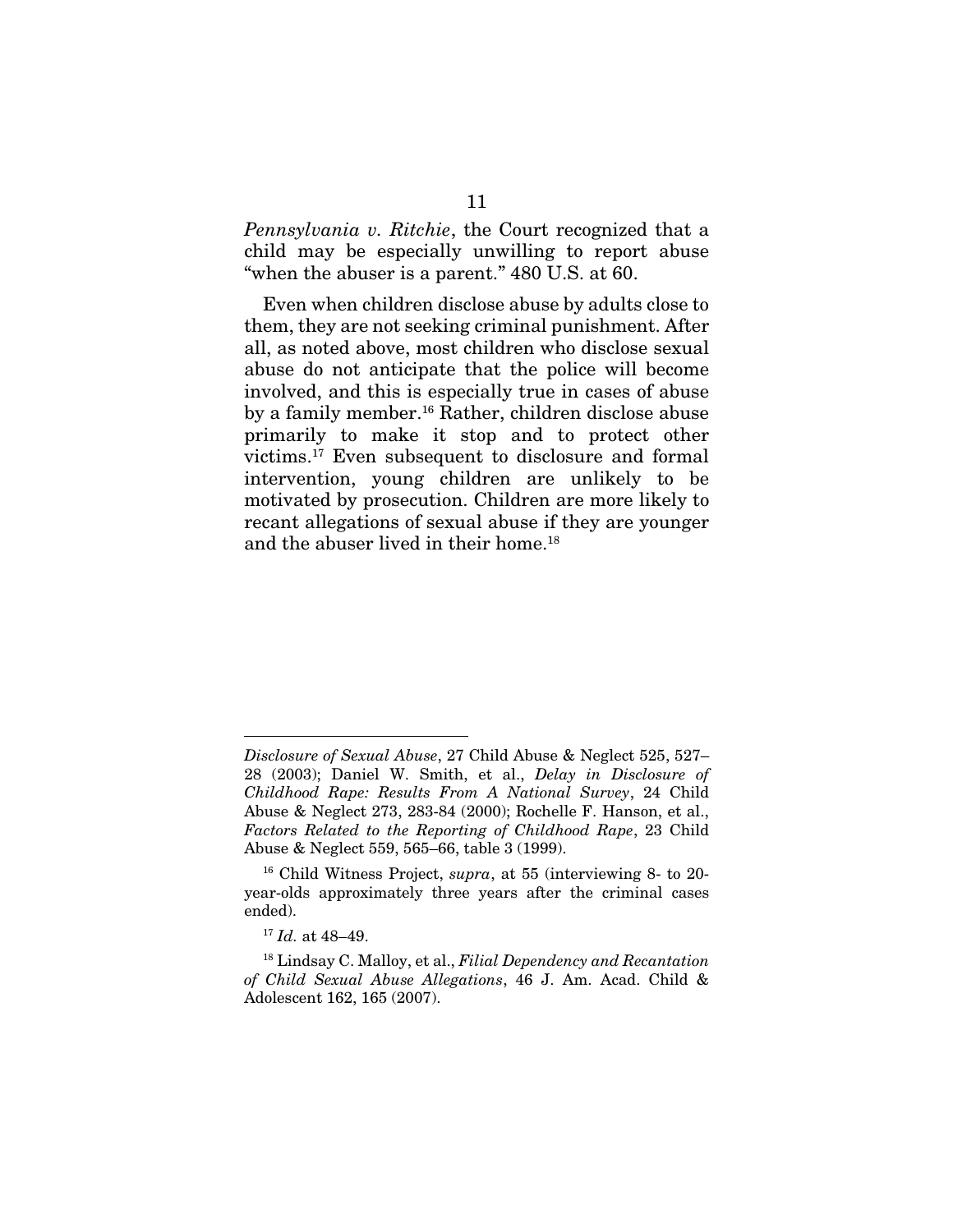*Pennsylvania v. Ritchie*, the Court recognized that a child may be especially unwilling to report abuse "when the abuser is a parent." 480 U.S. at 60.

Even when children disclose abuse by adults close to them, they are not seeking criminal punishment. After all, as noted above, most children who disclose sexual abuse do not anticipate that the police will become involved, and this is especially true in cases of abuse by a family member.<sup>16</sup> Rather, children disclose abuse primarily to make it stop and to protect other victims.17 Even subsequent to disclosure and formal intervention, young children are unlikely to be motivated by prosecution. Children are more likely to recant allegations of sexual abuse if they are younger and the abuser lived in their home.18

<u>.</u>

*Disclosure of Sexual Abuse*, 27 Child Abuse & Neglect 525, 527– 28 (2003); Daniel W. Smith, et al., *Delay in Disclosure of Childhood Rape: Results From A National Survey*, 24 Child Abuse & Neglect 273, 283-84 (2000); Rochelle F. Hanson, et al., *Factors Related to the Reporting of Childhood Rape*, 23 Child Abuse & Neglect 559, 565–66, table 3 (1999).

<sup>16</sup> Child Witness Project, *supra*, at 55 (interviewing 8- to 20 year-olds approximately three years after the criminal cases ended).

<sup>17</sup> *Id.* at 48–49.

<sup>18</sup> Lindsay C. Malloy, et al., *Filial Dependency and Recantation of Child Sexual Abuse Allegations*, 46 J. Am. Acad. Child & Adolescent 162, 165 (2007).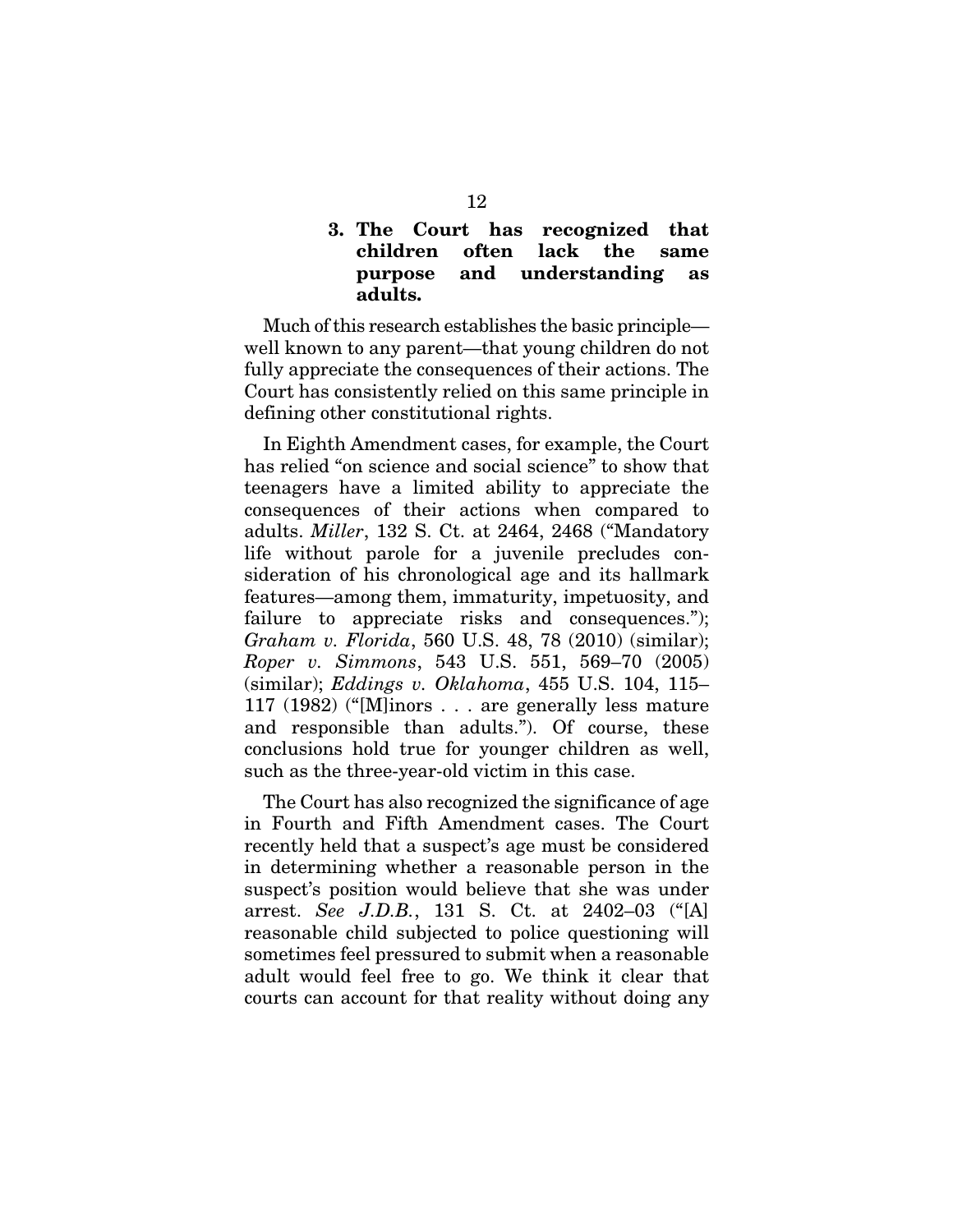## 3. The Court has recognized that children often lack the same purpose and understanding as adults.

Much of this research establishes the basic principle well known to any parent—that young children do not fully appreciate the consequences of their actions. The Court has consistently relied on this same principle in defining other constitutional rights.

In Eighth Amendment cases, for example, the Court has relied "on science and social science" to show that teenagers have a limited ability to appreciate the consequences of their actions when compared to adults. *Miller*, 132 S. Ct. at 2464, 2468 ("Mandatory life without parole for a juvenile precludes consideration of his chronological age and its hallmark features—among them, immaturity, impetuosity, and failure to appreciate risks and consequences."); *Graham v. Florida*, 560 U.S. 48, 78 (2010) (similar); *Roper v. Simmons*, 543 U.S. 551, 569–70 (2005) (similar); *Eddings v. Oklahoma*, 455 U.S. 104, 115– 117 (1982) ("[M]inors . . . are generally less mature and responsible than adults."). Of course, these conclusions hold true for younger children as well, such as the three-year-old victim in this case.

The Court has also recognized the significance of age in Fourth and Fifth Amendment cases. The Court recently held that a suspect's age must be considered in determining whether a reasonable person in the suspect's position would believe that she was under arrest. *See J.D.B.*, 131 S. Ct. at 2402–03 ("[A] reasonable child subjected to police questioning will sometimes feel pressured to submit when a reasonable adult would feel free to go. We think it clear that courts can account for that reality without doing any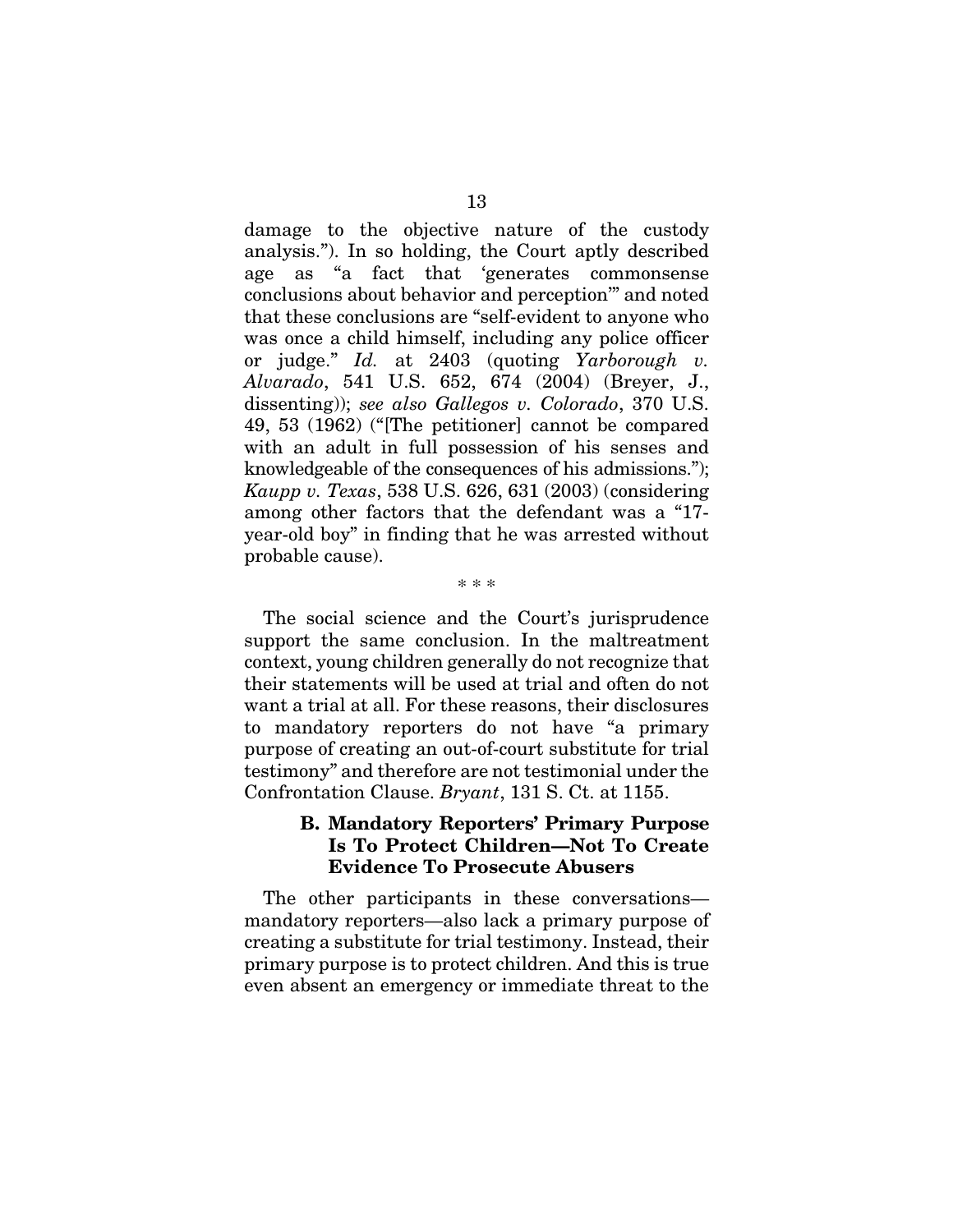damage to the objective nature of the custody analysis."). In so holding, the Court aptly described age as "a fact that 'generates commonsense conclusions about behavior and perception'" and noted that these conclusions are "self-evident to anyone who was once a child himself, including any police officer or judge." *Id.* at 2403 (quoting *Yarborough v. Alvarado*, 541 U.S. 652, 674 (2004) (Breyer, J., dissenting)); *see also Gallegos v. Colorado*, 370 U.S. 49, 53 (1962) ("[The petitioner] cannot be compared with an adult in full possession of his senses and knowledgeable of the consequences of his admissions."); *Kaupp v. Texas*, 538 U.S. 626, 631 (2003) (considering among other factors that the defendant was a "17 year-old boy" in finding that he was arrested without probable cause).

The social science and the Court's jurisprudence support the same conclusion. In the maltreatment context, young children generally do not recognize that their statements will be used at trial and often do not want a trial at all. For these reasons, their disclosures to mandatory reporters do not have "a primary purpose of creating an out-of-court substitute for trial testimony" and therefore are not testimonial under the Confrontation Clause. *Bryant*, 131 S. Ct. at 1155.

\* \* \*

### B. Mandatory Reporters' Primary Purpose Is To Protect Children—Not To Create Evidence To Prosecute Abusers

The other participants in these conversations mandatory reporters—also lack a primary purpose of creating a substitute for trial testimony. Instead, their primary purpose is to protect children. And this is true even absent an emergency or immediate threat to the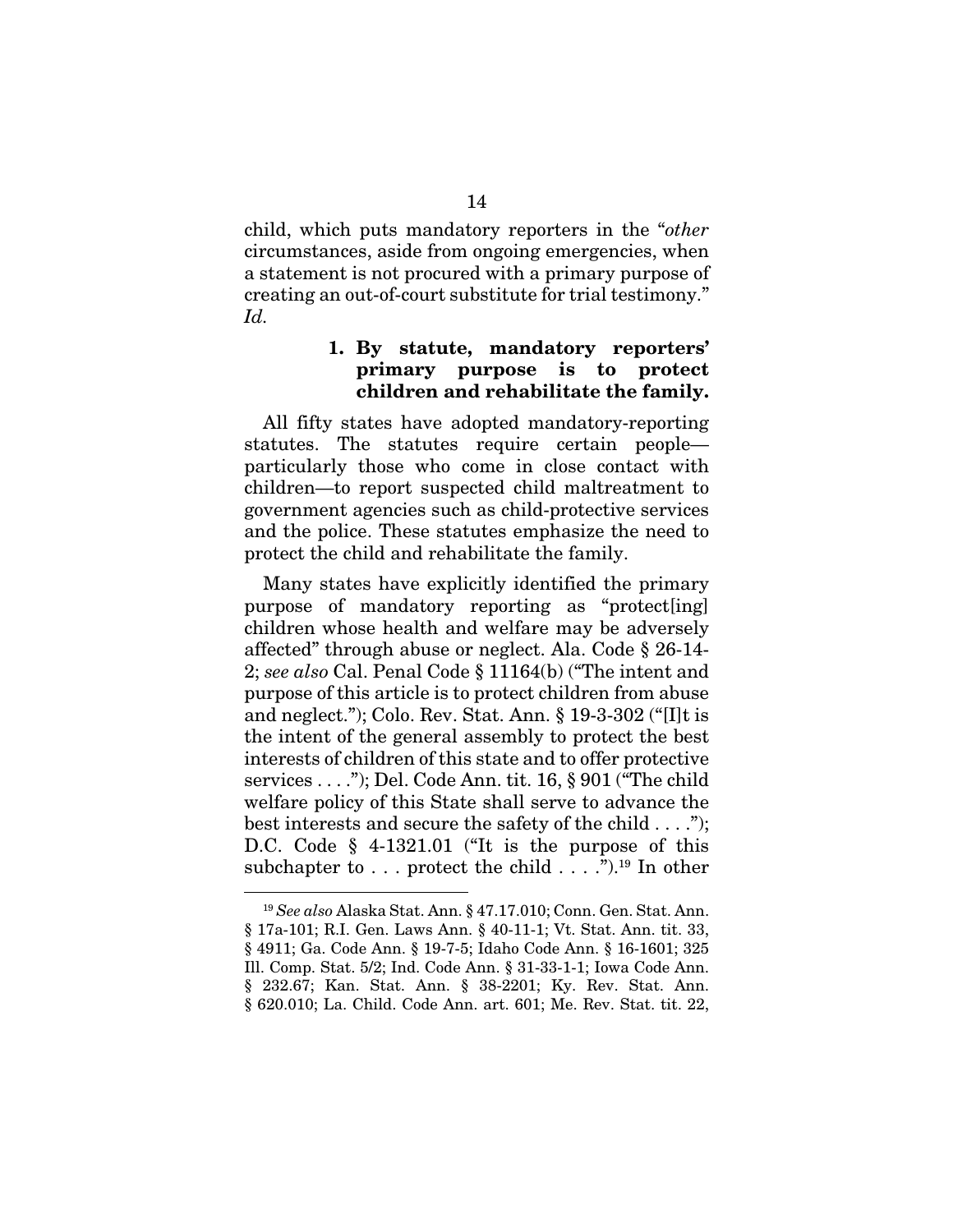child, which puts mandatory reporters in the "*other* circumstances, aside from ongoing emergencies, when a statement is not procured with a primary purpose of creating an out-of-court substitute for trial testimony." *Id.*

### 1. By statute, mandatory reporters' primary purpose is to protect children and rehabilitate the family.

All fifty states have adopted mandatory-reporting statutes. The statutes require certain people particularly those who come in close contact with children—to report suspected child maltreatment to government agencies such as child-protective services and the police. These statutes emphasize the need to protect the child and rehabilitate the family.

Many states have explicitly identified the primary purpose of mandatory reporting as "protect[ing] children whose health and welfare may be adversely affected" through abuse or neglect. Ala. Code § 26-14- 2; *see also* Cal. Penal Code § 11164(b) ("The intent and purpose of this article is to protect children from abuse and neglect."); Colo. Rev. Stat. Ann. § 19-3-302 ("[I]t is the intent of the general assembly to protect the best interests of children of this state and to offer protective services . . . ."); Del. Code Ann. tit. 16, § 901 ("The child welfare policy of this State shall serve to advance the best interests and secure the safety of the child . . . ."); D.C. Code § 4-1321.01 ("It is the purpose of this subchapter to  $\ldots$  protect the child  $\ldots$  .").<sup>19</sup> In other

 <sup>19</sup> *See also* Alaska Stat. Ann. § 47.17.010; Conn. Gen. Stat. Ann. § 17a-101; R.I. Gen. Laws Ann. § 40-11-1; Vt. Stat. Ann. tit. 33, § 4911; Ga. Code Ann. § 19-7-5; Idaho Code Ann. § 16-1601; 325 Ill. Comp. Stat. 5/2; Ind. Code Ann. § 31-33-1-1; Iowa Code Ann. § 232.67; Kan. Stat. Ann. § 38-2201; Ky. Rev. Stat. Ann. § 620.010; La. Child. Code Ann. art. 601; Me. Rev. Stat. tit. 22,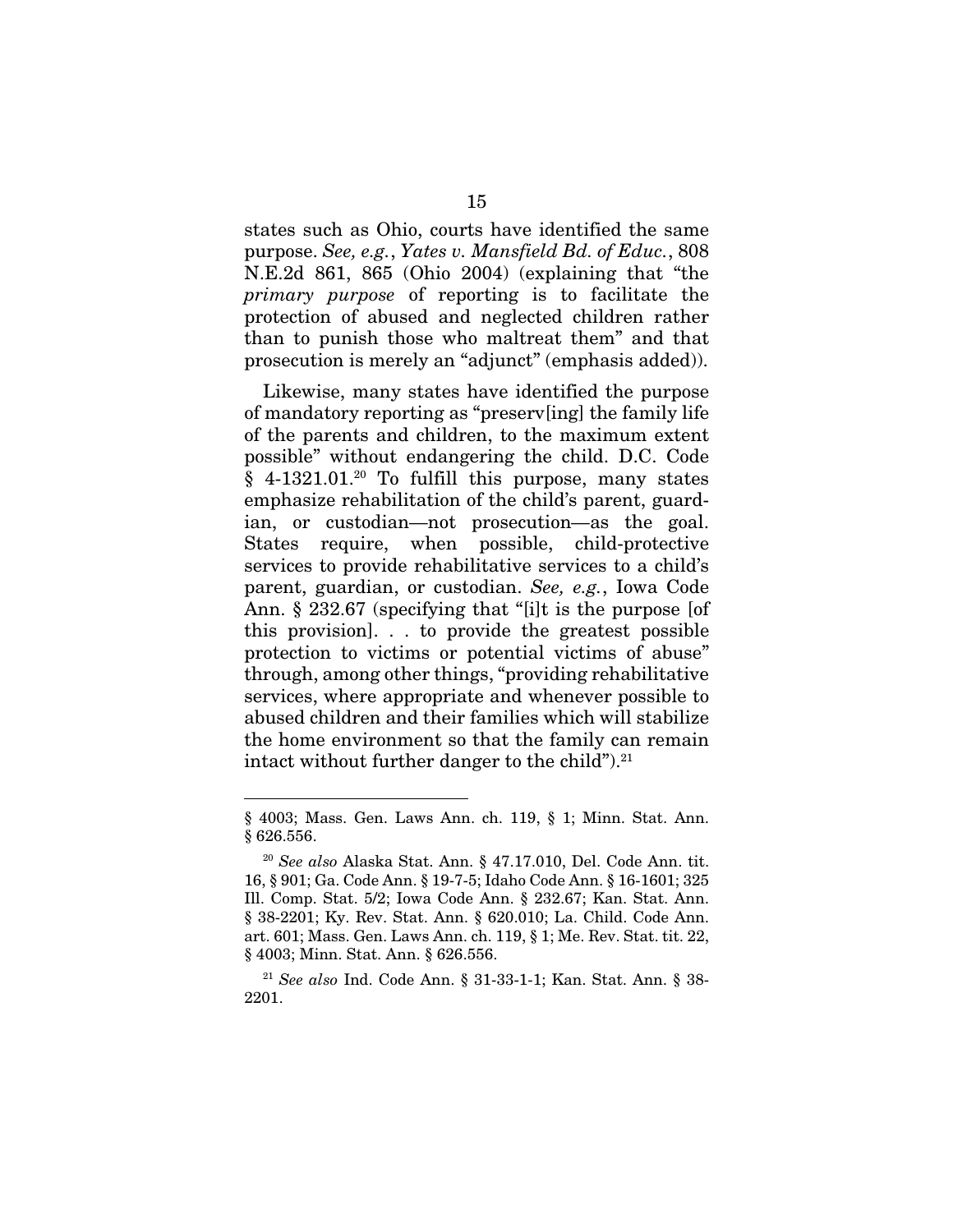states such as Ohio, courts have identified the same purpose. *See, e.g.*, *Yates v. Mansfield Bd. of Educ.*, 808 N.E.2d 861, 865 (Ohio 2004) (explaining that "the *primary purpose* of reporting is to facilitate the protection of abused and neglected children rather than to punish those who maltreat them" and that prosecution is merely an "adjunct" (emphasis added)).

Likewise, many states have identified the purpose of mandatory reporting as "preserv[ing] the family life of the parents and children, to the maximum extent possible" without endangering the child. D.C. Code  $§$  4-1321.01.<sup>20</sup> To fulfill this purpose, many states emphasize rehabilitation of the child's parent, guardian, or custodian—not prosecution*—*as the goal. States require, when possible, child-protective services to provide rehabilitative services to a child's parent, guardian, or custodian. *See, e.g.*, Iowa Code Ann. § 232.67 (specifying that "[i]t is the purpose [of this provision]. . . to provide the greatest possible protection to victims or potential victims of abuse" through, among other things, "providing rehabilitative services, where appropriate and whenever possible to abused children and their families which will stabilize the home environment so that the family can remain intact without further danger to the child").<sup>21</sup>

-

<sup>§ 4003;</sup> Mass. Gen. Laws Ann. ch. 119, § 1; Minn. Stat. Ann. § 626.556.

<sup>20</sup> *See also* Alaska Stat. Ann. § 47.17.010, Del. Code Ann. tit. 16, § 901; Ga. Code Ann. § 19-7-5; Idaho Code Ann. § 16-1601; 325 Ill. Comp. Stat. 5/2; Iowa Code Ann. § 232.67; Kan. Stat. Ann. § 38-2201; Ky. Rev. Stat. Ann. § 620.010; La. Child. Code Ann. art. 601; Mass. Gen. Laws Ann. ch. 119, § 1; Me. Rev. Stat. tit. 22, § 4003; Minn. Stat. Ann. § 626.556.

<sup>21</sup> *See also* Ind. Code Ann. § 31-33-1-1; Kan. Stat. Ann. § 38- 2201.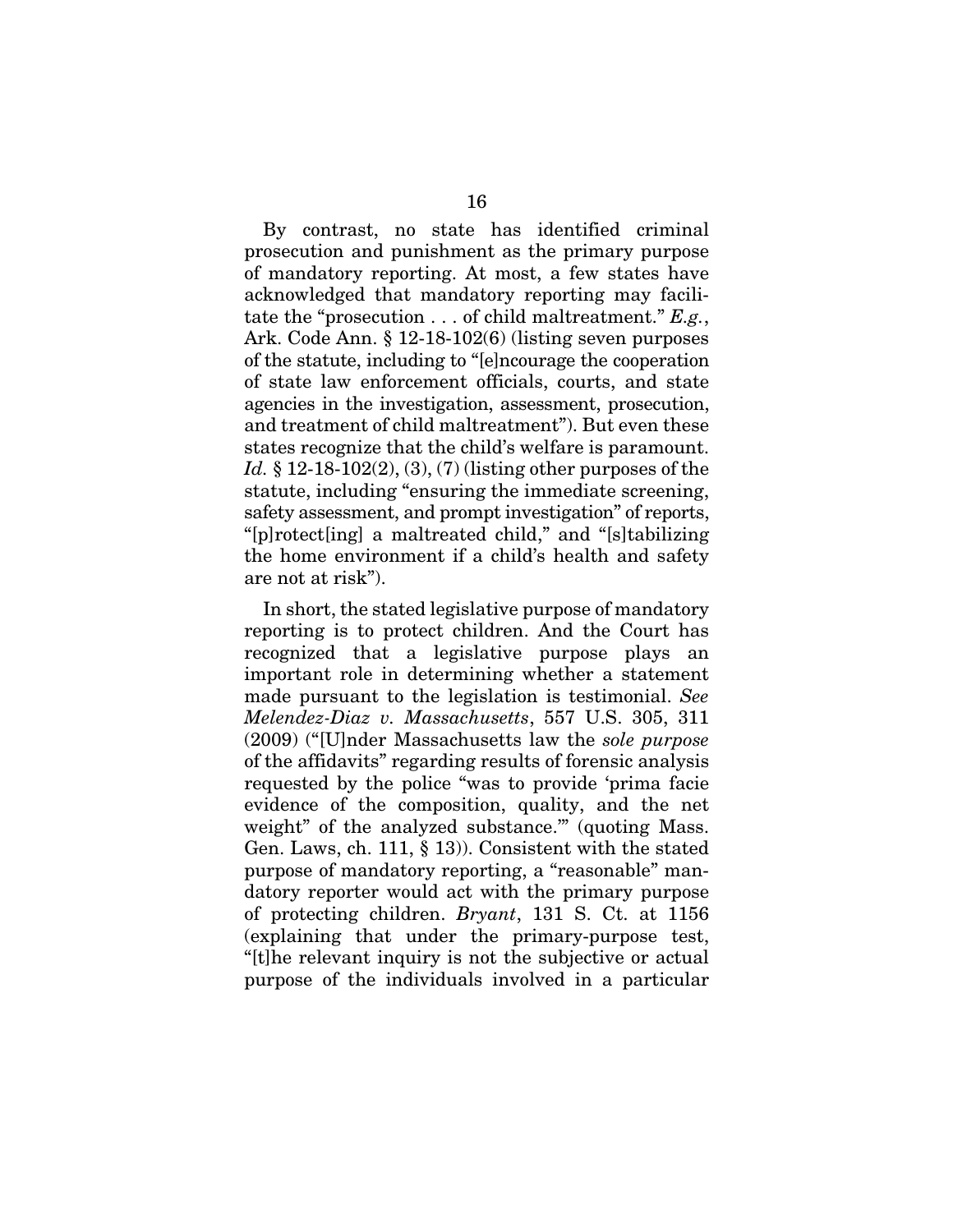By contrast, no state has identified criminal prosecution and punishment as the primary purpose of mandatory reporting. At most, a few states have acknowledged that mandatory reporting may facilitate the "prosecution . . . of child maltreatment." *E.g.*, Ark. Code Ann. § 12-18-102(6) (listing seven purposes of the statute, including to "[e]ncourage the cooperation of state law enforcement officials, courts, and state agencies in the investigation, assessment, prosecution, and treatment of child maltreatment"). But even these states recognize that the child's welfare is paramount. *Id.* § 12-18-102(2), (3), (7) (listing other purposes of the statute, including "ensuring the immediate screening, safety assessment, and prompt investigation" of reports, "[p]rotect[ing] a maltreated child," and "[s]tabilizing the home environment if a child's health and safety are not at risk").

In short, the stated legislative purpose of mandatory reporting is to protect children. And the Court has recognized that a legislative purpose plays an important role in determining whether a statement made pursuant to the legislation is testimonial. *See Melendez-Diaz v. Massachusetts*, 557 U.S. 305, 311 (2009) ("[U]nder Massachusetts law the *sole purpose* of the affidavits" regarding results of forensic analysis requested by the police "was to provide 'prima facie evidence of the composition, quality, and the net weight" of the analyzed substance."" (quoting Mass. Gen. Laws, ch. 111, § 13)). Consistent with the stated purpose of mandatory reporting, a "reasonable" mandatory reporter would act with the primary purpose of protecting children. *Bryant*, 131 S. Ct. at 1156 (explaining that under the primary-purpose test, "[t]he relevant inquiry is not the subjective or actual purpose of the individuals involved in a particular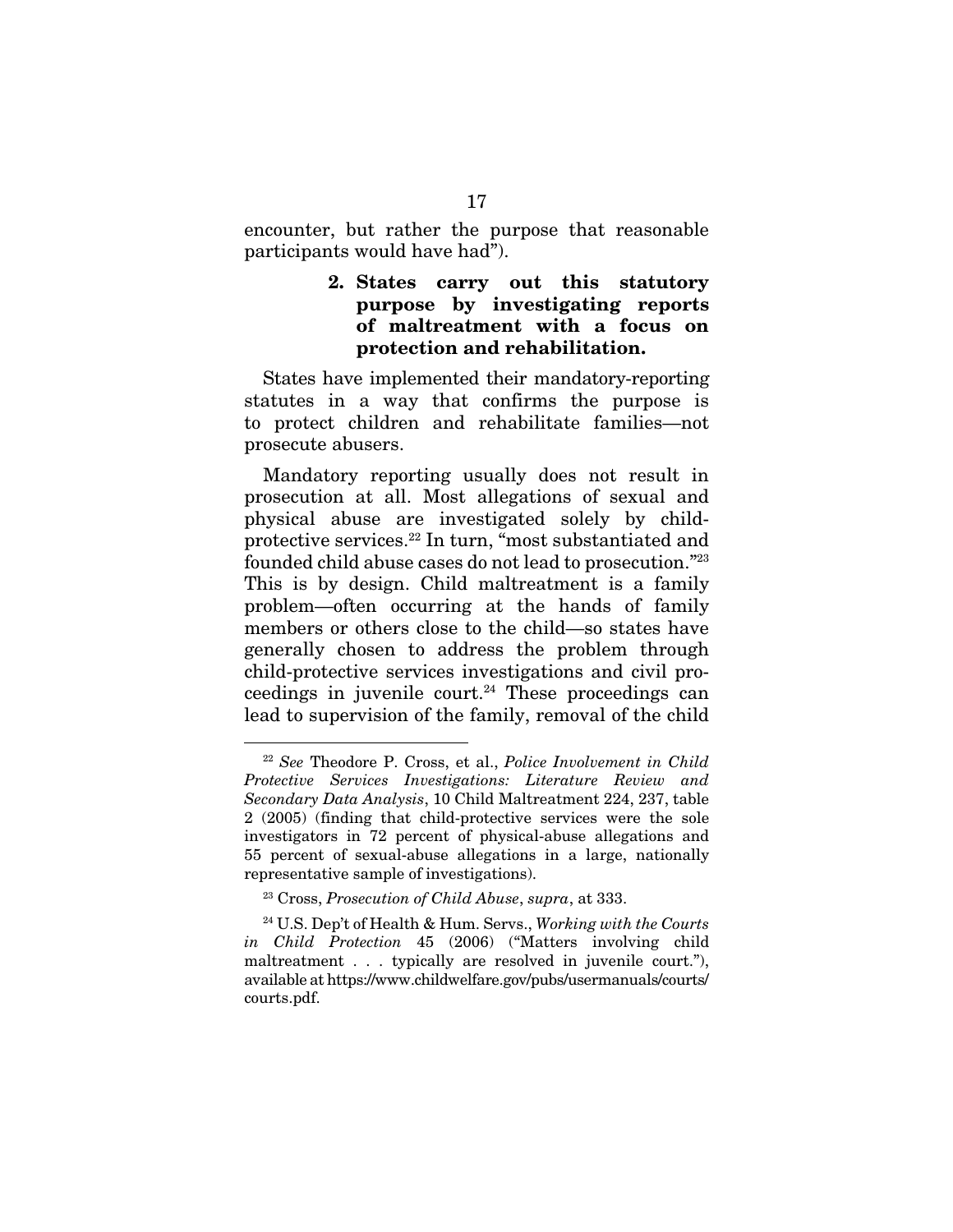encounter, but rather the purpose that reasonable participants would have had").

### 2. States carry out this statutory purpose by investigating reports of maltreatment with a focus on protection and rehabilitation.

States have implemented their mandatory-reporting statutes in a way that confirms the purpose is to protect children and rehabilitate families—not prosecute abusers.

Mandatory reporting usually does not result in prosecution at all. Most allegations of sexual and physical abuse are investigated solely by childprotective services.22 In turn, "most substantiated and founded child abuse cases do not lead to prosecution."23 This is by design. Child maltreatment is a family problem—often occurring at the hands of family members or others close to the child—so states have generally chosen to address the problem through child-protective services investigations and civil proceedings in juvenile court.<sup>24</sup> These proceedings can lead to supervision of the family, removal of the child

 <sup>22</sup> *See* Theodore P. Cross, et al., *Police Involvement in Child Protective Services Investigations: Literature Review and Secondary Data Analysis*, 10 Child Maltreatment 224, 237, table 2 (2005) (finding that child-protective services were the sole investigators in 72 percent of physical-abuse allegations and 55 percent of sexual-abuse allegations in a large, nationally representative sample of investigations).

<sup>23</sup> Cross, *Prosecution of Child Abuse*, *supra*, at 333.

<sup>24</sup> U.S. Dep't of Health & Hum. Servs., *Working with the Courts in Child Protection* 45 (2006) ("Matters involving child maltreatment . . . typically are resolved in juvenile court."), available at https://www.childwelfare.gov/pubs/usermanuals/courts/ courts.pdf.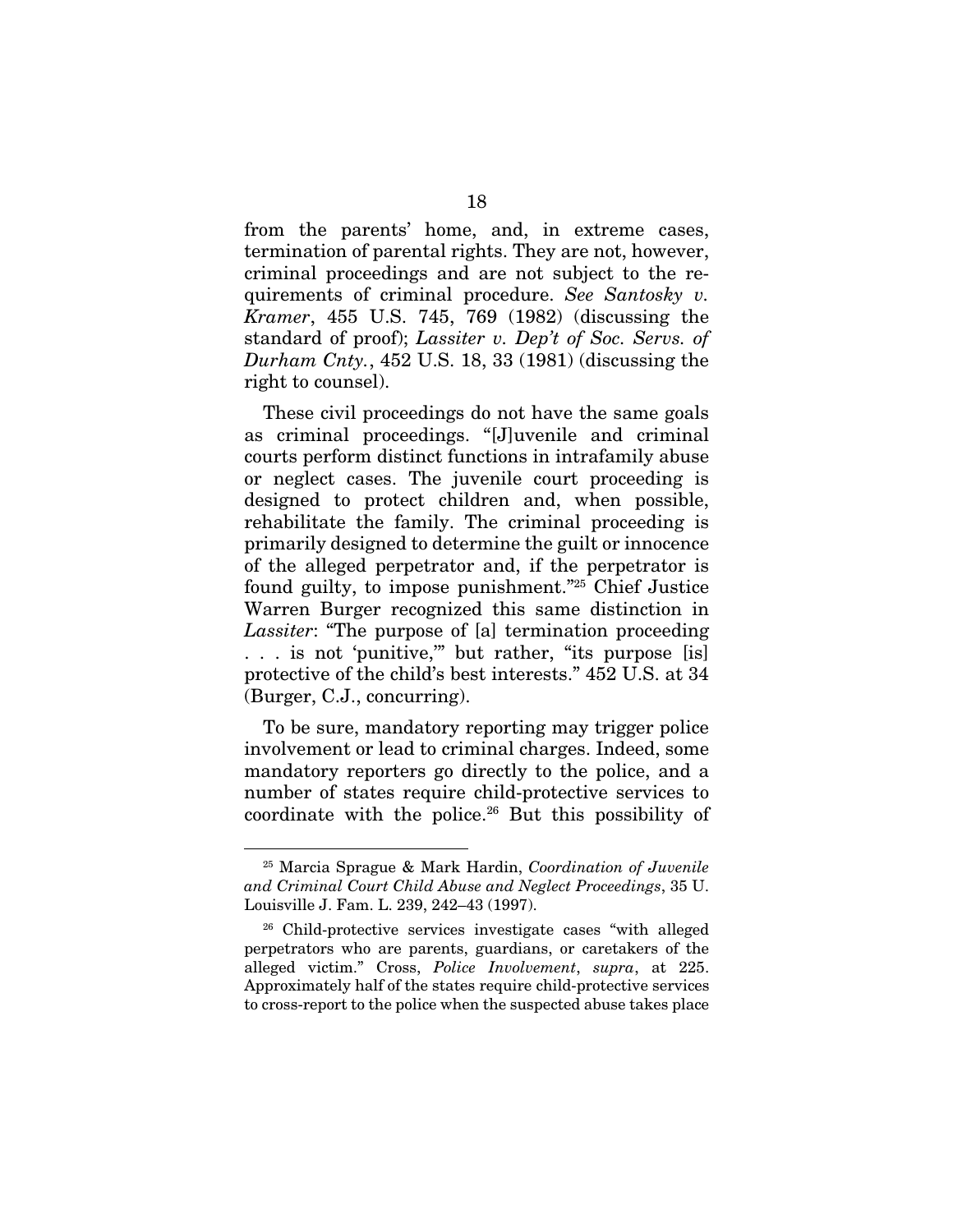from the parents' home, and, in extreme cases, termination of parental rights. They are not, however, criminal proceedings and are not subject to the requirements of criminal procedure. *See Santosky v. Kramer*, 455 U.S. 745, 769 (1982) (discussing the standard of proof); *Lassiter v. Dep't of Soc. Servs. of Durham Cnty.*, 452 U.S. 18, 33 (1981) (discussing the right to counsel).

These civil proceedings do not have the same goals as criminal proceedings. "[J]uvenile and criminal courts perform distinct functions in intrafamily abuse or neglect cases. The juvenile court proceeding is designed to protect children and, when possible, rehabilitate the family. The criminal proceeding is primarily designed to determine the guilt or innocence of the alleged perpetrator and, if the perpetrator is found guilty, to impose punishment."25 Chief Justice Warren Burger recognized this same distinction in *Lassiter*: "The purpose of [a] termination proceeding . . . is not 'punitive,'" but rather, "its purpose [is] protective of the child's best interests." 452 U.S. at 34 (Burger, C.J., concurring).

To be sure, mandatory reporting may trigger police involvement or lead to criminal charges. Indeed, some mandatory reporters go directly to the police, and a number of states require child-protective services to coordinate with the police.26 But this possibility of

 <sup>25</sup> Marcia Sprague & Mark Hardin, *Coordination of Juvenile and Criminal Court Child Abuse and Neglect Proceedings*, 35 U. Louisville J. Fam. L. 239, 242–43 (1997).

<sup>26</sup> Child-protective services investigate cases "with alleged perpetrators who are parents, guardians, or caretakers of the alleged victim." Cross, *Police Involvement*, *supra*, at 225. Approximately half of the states require child-protective services to cross-report to the police when the suspected abuse takes place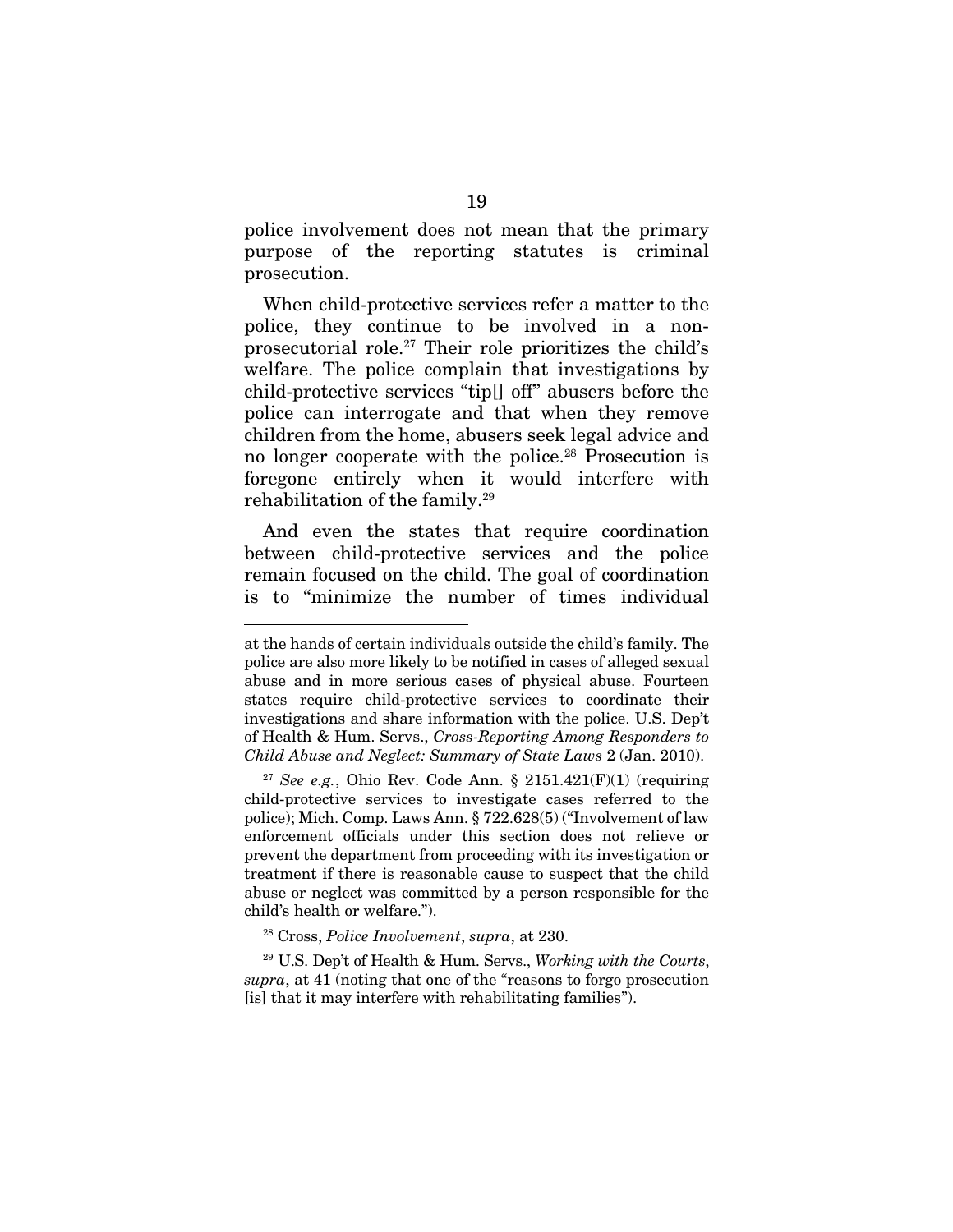police involvement does not mean that the primary purpose of the reporting statutes is criminal prosecution.

When child-protective services refer a matter to the police, they continue to be involved in a nonprosecutorial role.27 Their role prioritizes the child's welfare. The police complain that investigations by child-protective services "tip[] off" abusers before the police can interrogate and that when they remove children from the home, abusers seek legal advice and no longer cooperate with the police.<sup>28</sup> Prosecution is foregone entirely when it would interfere with rehabilitation of the family.29

And even the states that require coordination between child-protective services and the police remain focused on the child. The goal of coordination is to "minimize the number of times individual

<u>.</u>

at the hands of certain individuals outside the child's family. The police are also more likely to be notified in cases of alleged sexual abuse and in more serious cases of physical abuse. Fourteen states require child-protective services to coordinate their investigations and share information with the police. U.S. Dep't of Health & Hum. Servs., *Cross-Reporting Among Responders to Child Abuse and Neglect: Summary of State Laws* 2 (Jan. 2010).

 $27$  See e.g., Ohio Rev. Code Ann. § 2151.421(F)(1) (requiring child-protective services to investigate cases referred to the police); Mich. Comp. Laws Ann. § 722.628(5) ("Involvement of law enforcement officials under this section does not relieve or prevent the department from proceeding with its investigation or treatment if there is reasonable cause to suspect that the child abuse or neglect was committed by a person responsible for the child's health or welfare.").

<sup>28</sup> Cross, *Police Involvement*, *supra*, at 230.

<sup>29</sup> U.S. Dep't of Health & Hum. Servs., *Working with the Courts*, *supra*, at 41 (noting that one of the "reasons to forgo prosecution [is] that it may interfere with rehabilitating families").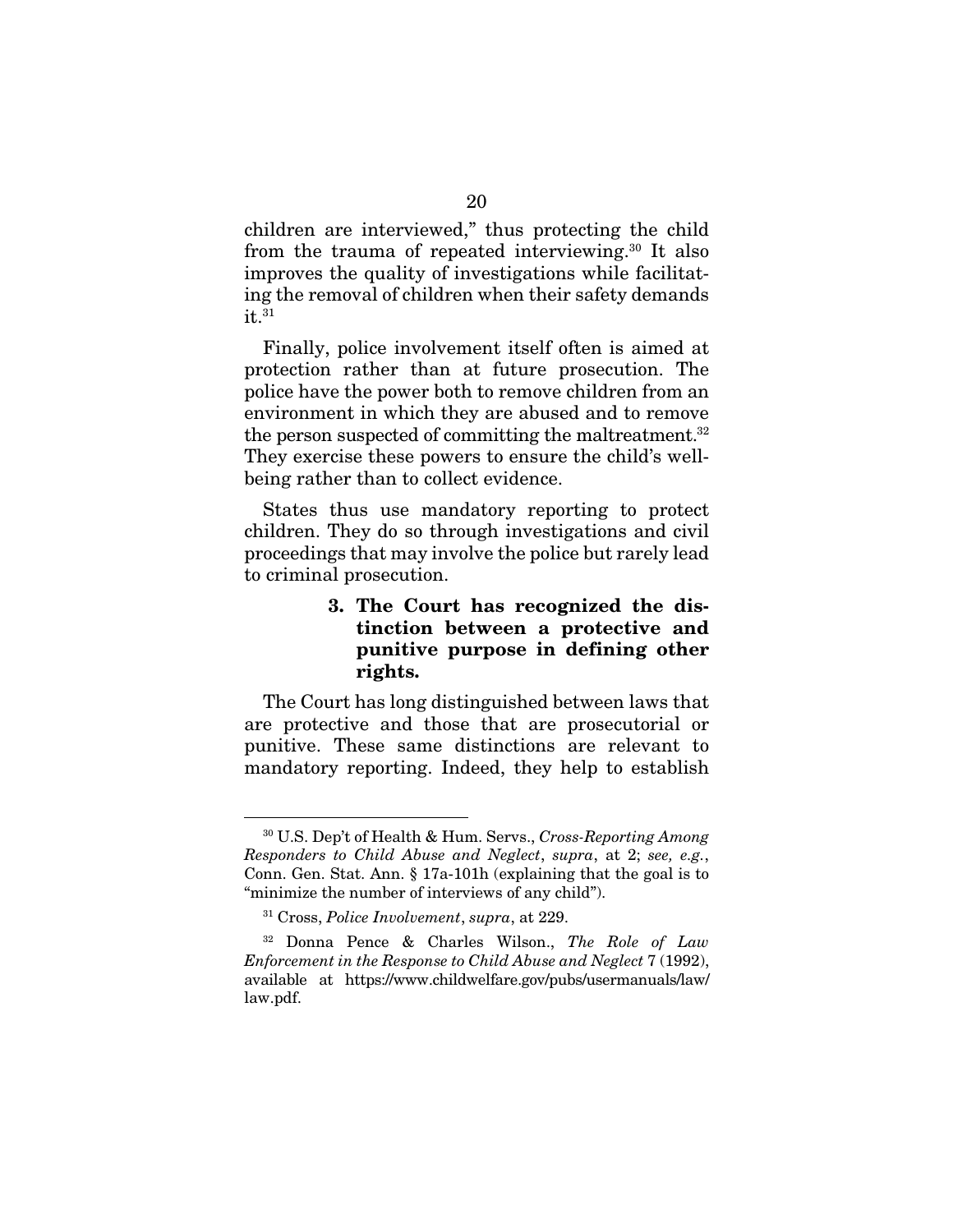children are interviewed," thus protecting the child from the trauma of repeated interviewing.30 It also improves the quality of investigations while facilitating the removal of children when their safety demands  $it.<sup>31</sup>$ 

Finally, police involvement itself often is aimed at protection rather than at future prosecution. The police have the power both to remove children from an environment in which they are abused and to remove the person suspected of committing the maltreatment.32 They exercise these powers to ensure the child's wellbeing rather than to collect evidence.

States thus use mandatory reporting to protect children. They do so through investigations and civil proceedings that may involve the police but rarely lead to criminal prosecution.

## 3. The Court has recognized the distinction between a protective and punitive purpose in defining other rights.

The Court has long distinguished between laws that are protective and those that are prosecutorial or punitive. These same distinctions are relevant to mandatory reporting. Indeed, they help to establish

 <sup>30</sup> U.S. Dep't of Health & Hum. Servs., *Cross-Reporting Among Responders to Child Abuse and Neglect*, *supra*, at 2; *see, e.g.*, Conn. Gen. Stat. Ann. § 17a-101h (explaining that the goal is to "minimize the number of interviews of any child").

<sup>31</sup> Cross, *Police Involvement*, *supra*, at 229.

<sup>32</sup> Donna Pence & Charles Wilson., *The Role of Law Enforcement in the Response to Child Abuse and Neglect* 7 (1992), available at https://www.childwelfare.gov/pubs/usermanuals/law/ law.pdf.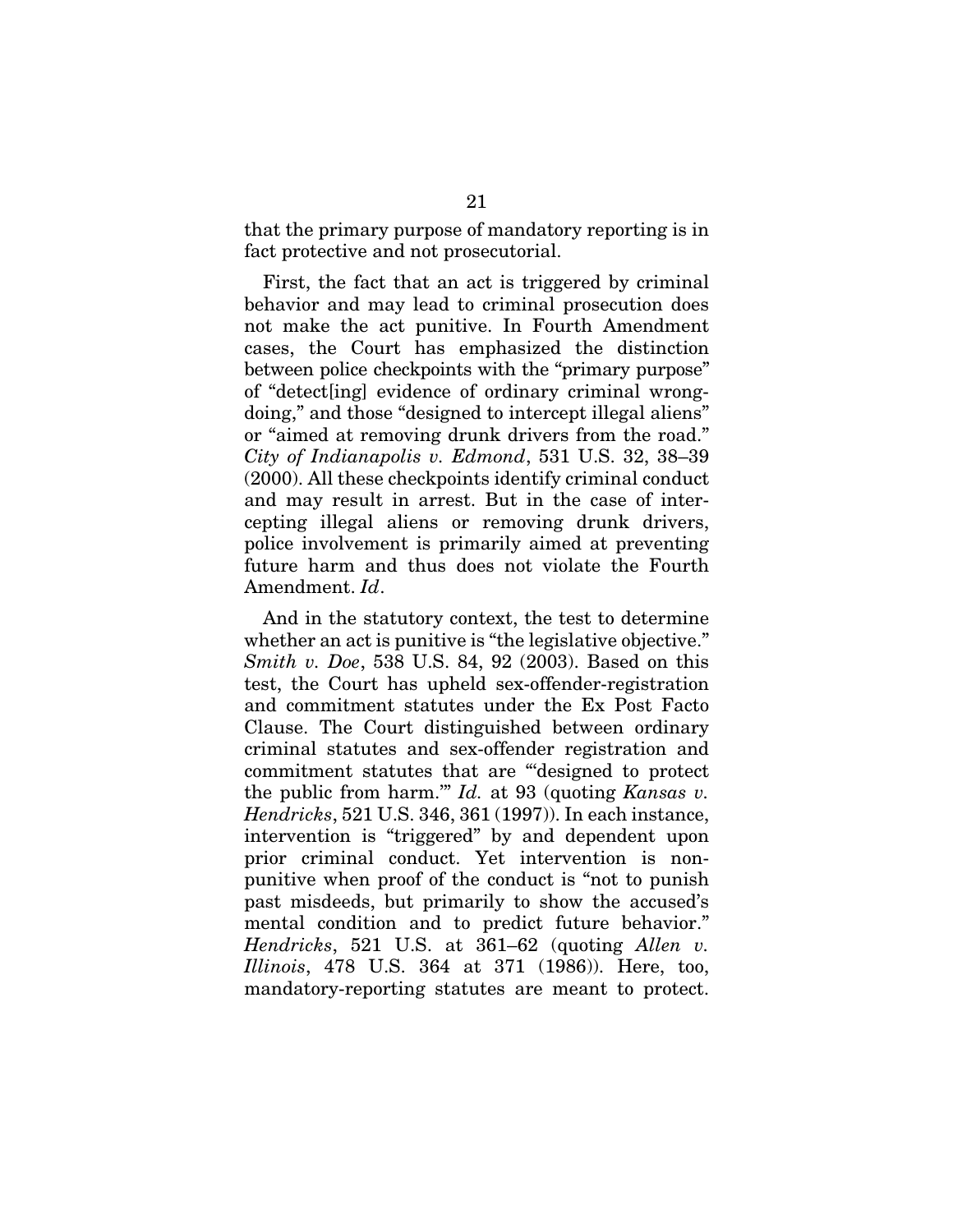that the primary purpose of mandatory reporting is in fact protective and not prosecutorial.

First, the fact that an act is triggered by criminal behavior and may lead to criminal prosecution does not make the act punitive. In Fourth Amendment cases, the Court has emphasized the distinction between police checkpoints with the "primary purpose" of "detect[ing] evidence of ordinary criminal wrongdoing," and those "designed to intercept illegal aliens" or "aimed at removing drunk drivers from the road." *City of Indianapolis v. Edmond*, 531 U.S. 32, 38–39 (2000). All these checkpoints identify criminal conduct and may result in arrest. But in the case of intercepting illegal aliens or removing drunk drivers, police involvement is primarily aimed at preventing future harm and thus does not violate the Fourth Amendment. *Id*.

And in the statutory context, the test to determine whether an act is punitive is "the legislative objective." *Smith v. Doe*, 538 U.S. 84, 92 (2003). Based on this test, the Court has upheld sex-offender-registration and commitment statutes under the Ex Post Facto Clause. The Court distinguished between ordinary criminal statutes and sex-offender registration and commitment statutes that are "'designed to protect the public from harm.'" *Id.* at 93 (quoting *Kansas v. Hendricks*, 521 U.S. 346, 361 (1997)). In each instance, intervention is "triggered" by and dependent upon prior criminal conduct. Yet intervention is nonpunitive when proof of the conduct is "not to punish past misdeeds, but primarily to show the accused's mental condition and to predict future behavior." *Hendricks*, 521 U.S. at 361–62 (quoting *Allen v. Illinois*, 478 U.S. 364 at 371 (1986)). Here, too, mandatory-reporting statutes are meant to protect.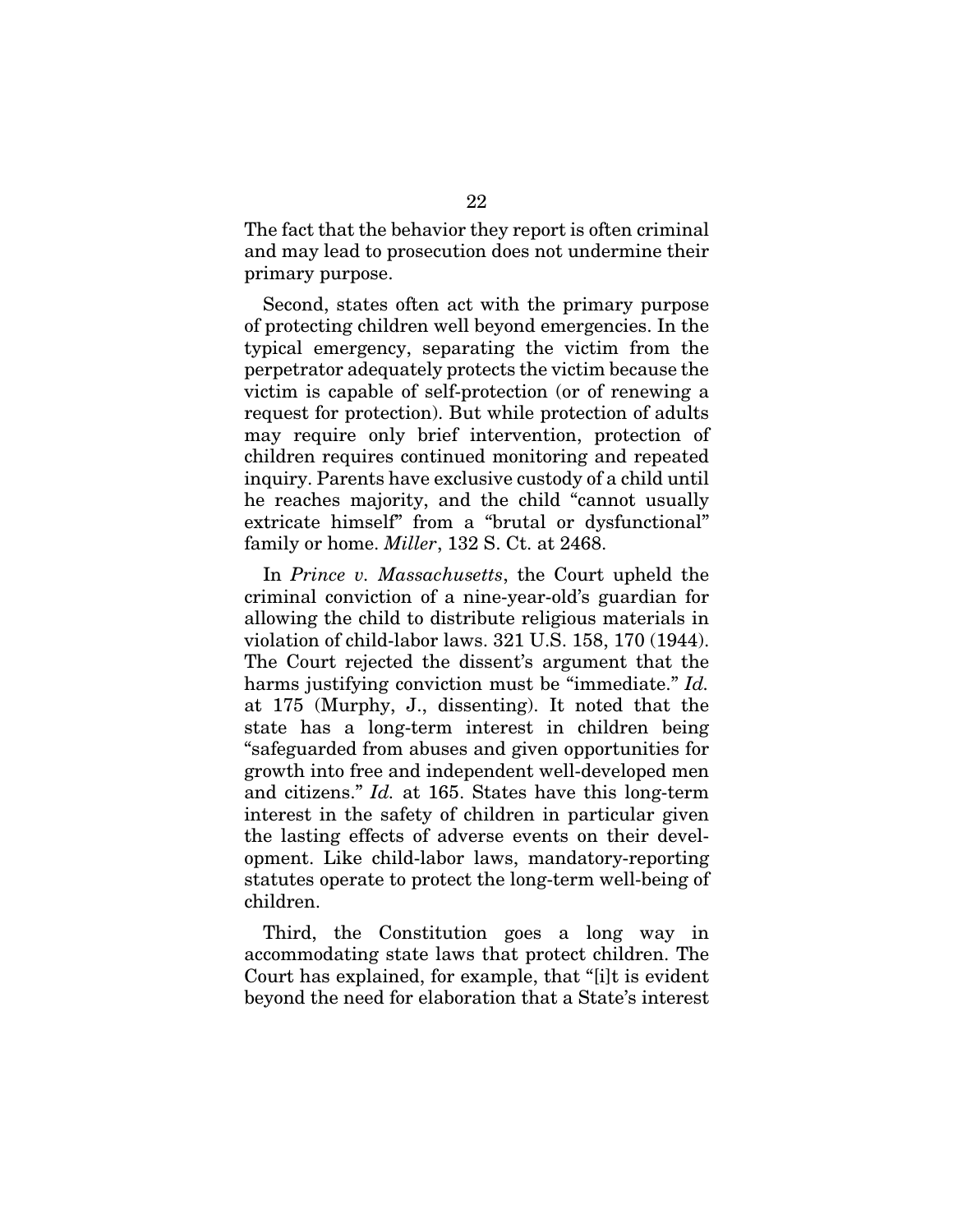The fact that the behavior they report is often criminal and may lead to prosecution does not undermine their primary purpose.

Second, states often act with the primary purpose of protecting children well beyond emergencies. In the typical emergency, separating the victim from the perpetrator adequately protects the victim because the victim is capable of self-protection (or of renewing a request for protection). But while protection of adults may require only brief intervention, protection of children requires continued monitoring and repeated inquiry. Parents have exclusive custody of a child until he reaches majority, and the child "cannot usually extricate himself" from a "brutal or dysfunctional" family or home. *Miller*, 132 S. Ct. at 2468.

In *Prince v. Massachusetts*, the Court upheld the criminal conviction of a nine-year-old's guardian for allowing the child to distribute religious materials in violation of child-labor laws. 321 U.S. 158, 170 (1944). The Court rejected the dissent's argument that the harms justifying conviction must be "immediate." *Id.* at 175 (Murphy, J., dissenting). It noted that the state has a long-term interest in children being "safeguarded from abuses and given opportunities for growth into free and independent well-developed men and citizens." *Id.* at 165. States have this long-term interest in the safety of children in particular given the lasting effects of adverse events on their development. Like child-labor laws, mandatory-reporting statutes operate to protect the long-term well-being of children.

Third, the Constitution goes a long way in accommodating state laws that protect children. The Court has explained, for example, that "[i]t is evident beyond the need for elaboration that a State's interest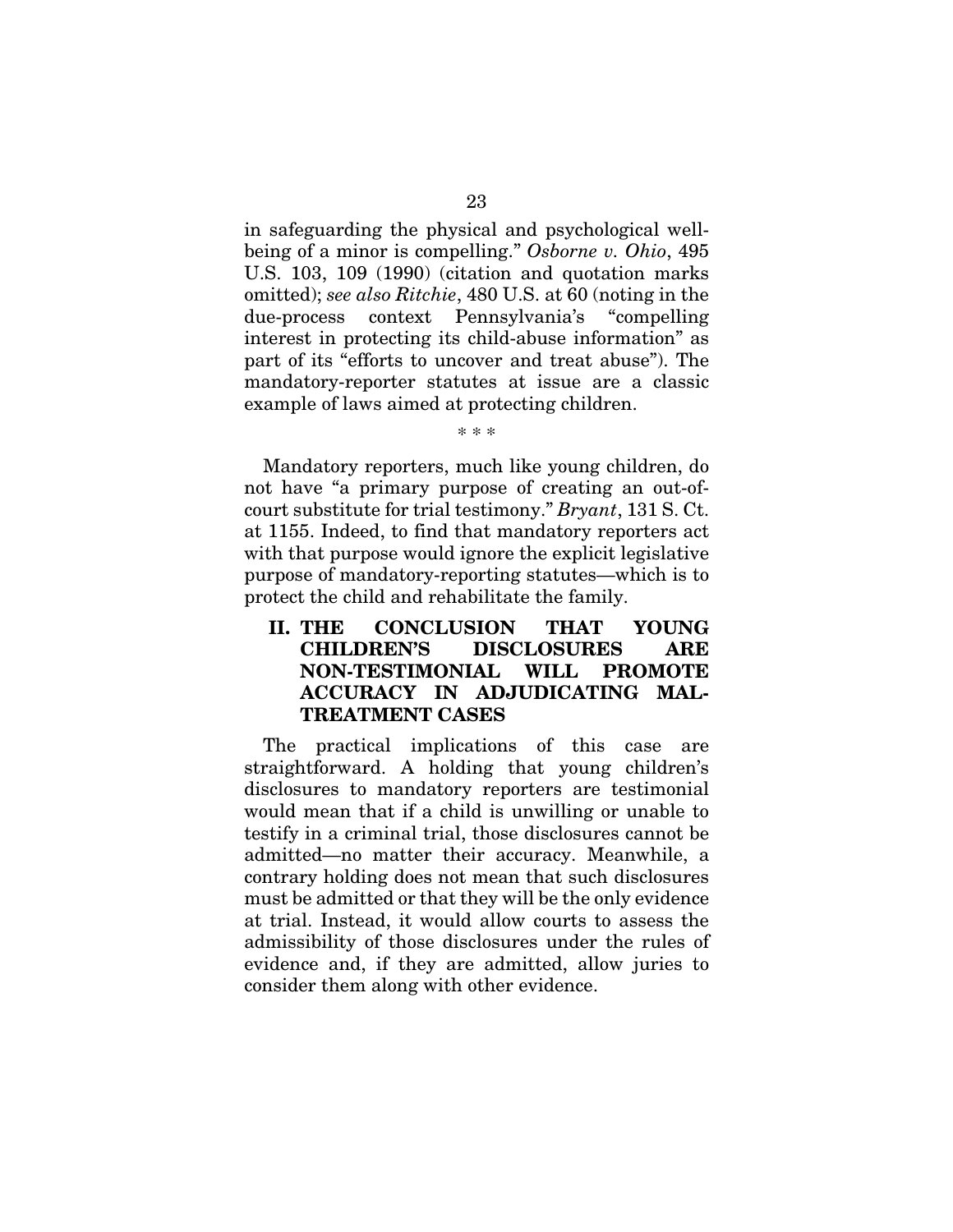in safeguarding the physical and psychological wellbeing of a minor is compelling." *Osborne v. Ohio*, 495 U.S. 103, 109 (1990) (citation and quotation marks omitted); *see also Ritchie*, 480 U.S. at 60 (noting in the due-process context Pennsylvania's "compelling interest in protecting its child-abuse information" as part of its "efforts to uncover and treat abuse"). The mandatory-reporter statutes at issue are a classic example of laws aimed at protecting children.

\* \* \*

Mandatory reporters, much like young children, do not have "a primary purpose of creating an out-ofcourt substitute for trial testimony." *Bryant*, 131 S. Ct. at 1155. Indeed, to find that mandatory reporters act with that purpose would ignore the explicit legislative purpose of mandatory-reporting statutes—which is to protect the child and rehabilitate the family.

## II. THE CONCLUSION THAT YOUNG CHILDREN'S DISCLOSURES ARE NON-TESTIMONIAL WILL PROMOTE ACCURACY IN ADJUDICATING MAL-TREATMENT CASES

The practical implications of this case are straightforward. A holding that young children's disclosures to mandatory reporters are testimonial would mean that if a child is unwilling or unable to testify in a criminal trial, those disclosures cannot be admitted—no matter their accuracy. Meanwhile, a contrary holding does not mean that such disclosures must be admitted or that they will be the only evidence at trial. Instead, it would allow courts to assess the admissibility of those disclosures under the rules of evidence and, if they are admitted, allow juries to consider them along with other evidence.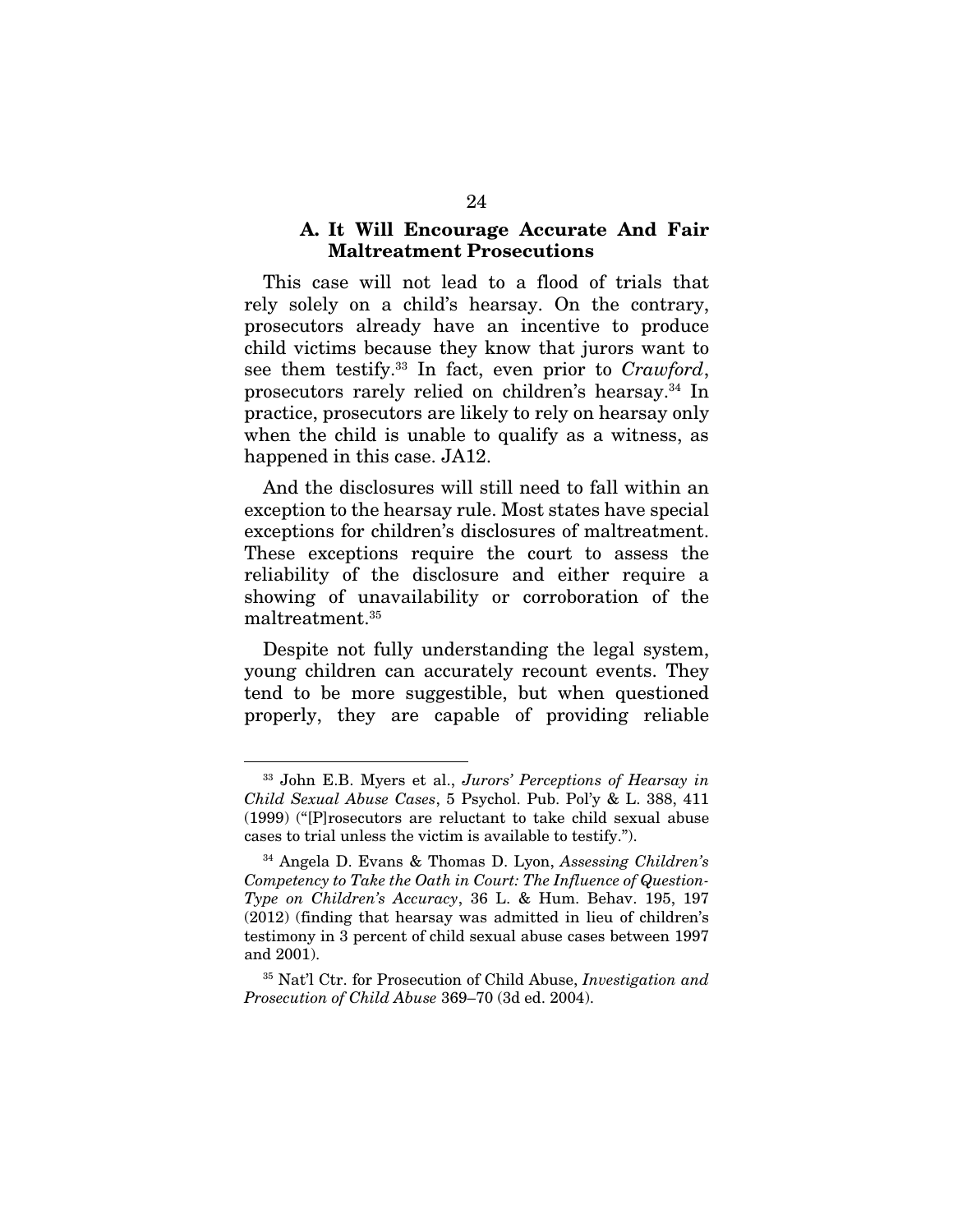#### A. It Will Encourage Accurate And Fair Maltreatment Prosecutions

This case will not lead to a flood of trials that rely solely on a child's hearsay. On the contrary, prosecutors already have an incentive to produce child victims because they know that jurors want to see them testify.33 In fact, even prior to *Crawford*, prosecutors rarely relied on children's hearsay.<sup>34</sup> In practice, prosecutors are likely to rely on hearsay only when the child is unable to qualify as a witness, as happened in this case. JA12.

And the disclosures will still need to fall within an exception to the hearsay rule. Most states have special exceptions for children's disclosures of maltreatment. These exceptions require the court to assess the reliability of the disclosure and either require a showing of unavailability or corroboration of the maltreatment.35

Despite not fully understanding the legal system, young children can accurately recount events. They tend to be more suggestible, but when questioned properly, they are capable of providing reliable

 <sup>33</sup> John E.B. Myers et al., *Jurors' Perceptions of Hearsay in Child Sexual Abuse Cases*, 5 Psychol. Pub. Pol'y & L. 388, 411 (1999) ("[P]rosecutors are reluctant to take child sexual abuse cases to trial unless the victim is available to testify.").

<sup>34</sup> Angela D. Evans & Thomas D. Lyon, *Assessing Children's Competency to Take the Oath in Court: The Influence of Question-Type on Children's Accuracy*, 36 L. & Hum. Behav. 195, 197 (2012) (finding that hearsay was admitted in lieu of children's testimony in 3 percent of child sexual abuse cases between 1997 and 2001).

<sup>35</sup> Nat'l Ctr. for Prosecution of Child Abuse, *Investigation and Prosecution of Child Abuse* 369–70 (3d ed. 2004).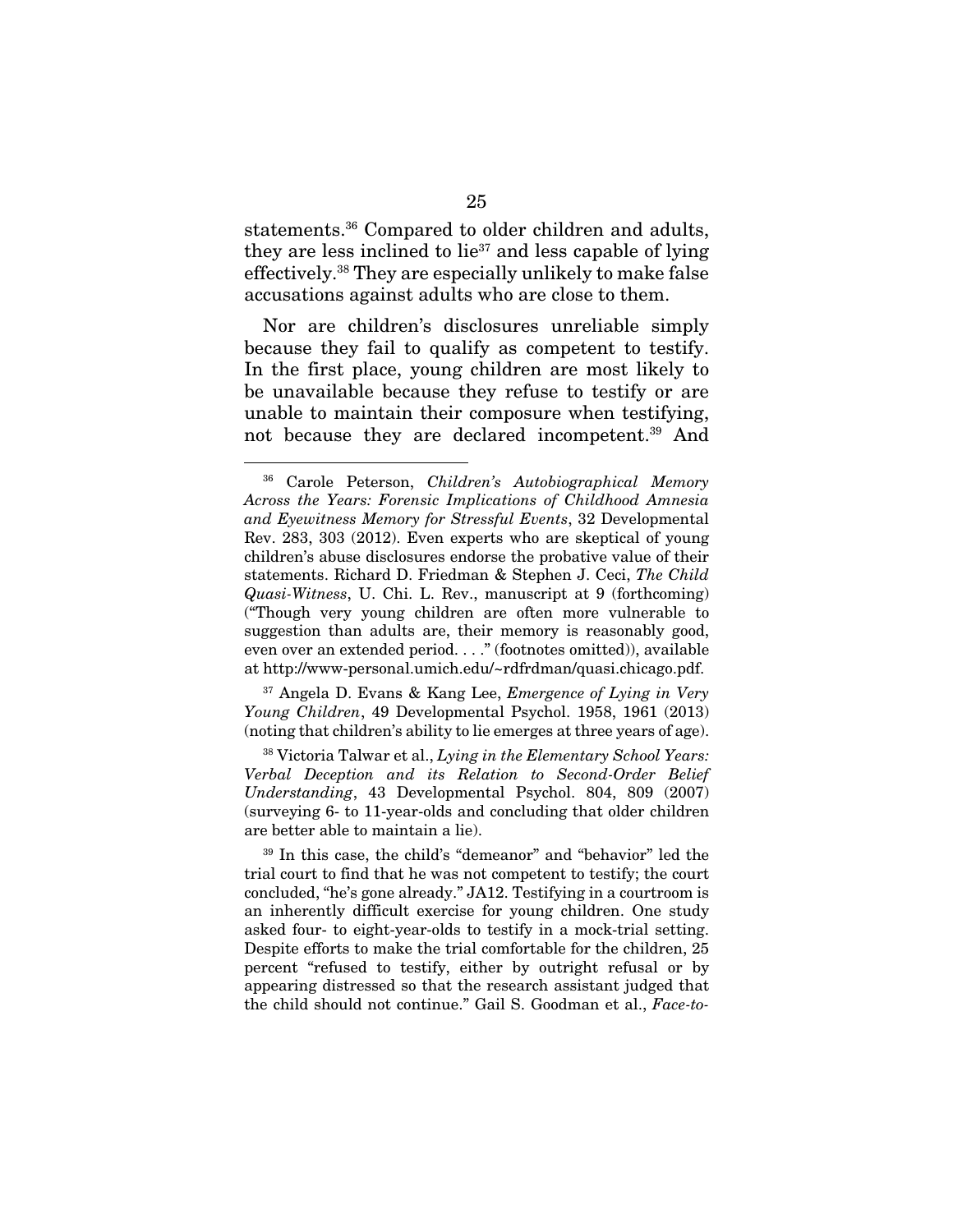statements.36 Compared to older children and adults, they are less inclined to  $lie^{37}$  and less capable of lying effectively.38 They are especially unlikely to make false accusations against adults who are close to them.

Nor are children's disclosures unreliable simply because they fail to qualify as competent to testify. In the first place, young children are most likely to be unavailable because they refuse to testify or are unable to maintain their composure when testifying, not because they are declared incompetent.39 And

37 Angela D. Evans & Kang Lee, *Emergence of Lying in Very Young Children*, 49 Developmental Psychol. 1958, 1961 (2013) (noting that children's ability to lie emerges at three years of age).

38 Victoria Talwar et al., *Lying in the Elementary School Years: Verbal Deception and its Relation to Second-Order Belief Understanding*, 43 Developmental Psychol. 804, 809 (2007) (surveying 6- to 11-year-olds and concluding that older children are better able to maintain a lie).

39 In this case, the child's "demeanor" and "behavior" led the trial court to find that he was not competent to testify; the court concluded, "he's gone already." JA12. Testifying in a courtroom is an inherently difficult exercise for young children. One study asked four- to eight-year-olds to testify in a mock-trial setting. Despite efforts to make the trial comfortable for the children, 25 percent "refused to testify, either by outright refusal or by appearing distressed so that the research assistant judged that the child should not continue." Gail S. Goodman et al., *Face-to-*

 <sup>36</sup> Carole Peterson, *Children's Autobiographical Memory Across the Years: Forensic Implications of Childhood Amnesia and Eyewitness Memory for Stressful Events*, 32 Developmental Rev. 283, 303 (2012). Even experts who are skeptical of young children's abuse disclosures endorse the probative value of their statements. Richard D. Friedman & Stephen J. Ceci, *The Child Quasi-Witness*, U. Chi. L. Rev., manuscript at 9 (forthcoming) ("Though very young children are often more vulnerable to suggestion than adults are, their memory is reasonably good, even over an extended period. . . ." (footnotes omitted)), available at http://www-personal.umich.edu/~rdfrdman/quasi.chicago.pdf.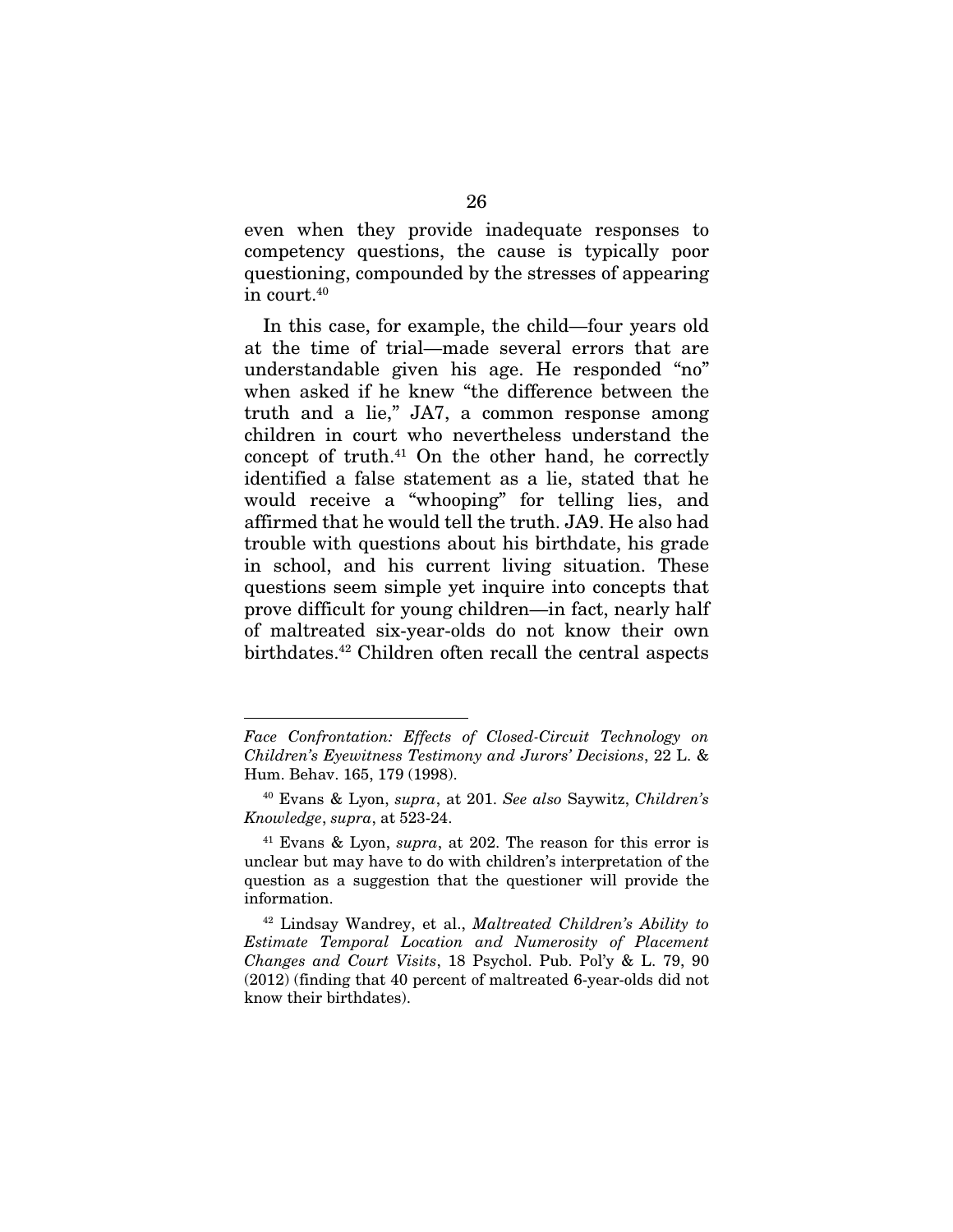even when they provide inadequate responses to competency questions, the cause is typically poor questioning, compounded by the stresses of appearing in court.40

In this case, for example, the child—four years old at the time of trial—made several errors that are understandable given his age. He responded "no" when asked if he knew "the difference between the truth and a lie," JA7, a common response among children in court who nevertheless understand the concept of truth.41 On the other hand, he correctly identified a false statement as a lie, stated that he would receive a "whooping" for telling lies, and affirmed that he would tell the truth. JA9. He also had trouble with questions about his birthdate, his grade in school, and his current living situation. These questions seem simple yet inquire into concepts that prove difficult for young children—in fact, nearly half of maltreated six-year-olds do not know their own birthdates.<sup>42</sup> Children often recall the central aspects

<u>.</u>

*Face Confrontation: Effects of Closed-Circuit Technology on Children's Eyewitness Testimony and Jurors' Decisions*, 22 L. & Hum. Behav. 165, 179 (1998).

<sup>40</sup> Evans & Lyon, *supra*, at 201. *See also* Saywitz, *Children's Knowledge*, *supra*, at 523-24.

<sup>41</sup> Evans & Lyon, *supra*, at 202. The reason for this error is unclear but may have to do with children's interpretation of the question as a suggestion that the questioner will provide the information.

<sup>42</sup> Lindsay Wandrey, et al., *Maltreated Children's Ability to Estimate Temporal Location and Numerosity of Placement Changes and Court Visits*, 18 Psychol. Pub. Pol'y & L. 79, 90 (2012) (finding that 40 percent of maltreated 6-year-olds did not know their birthdates).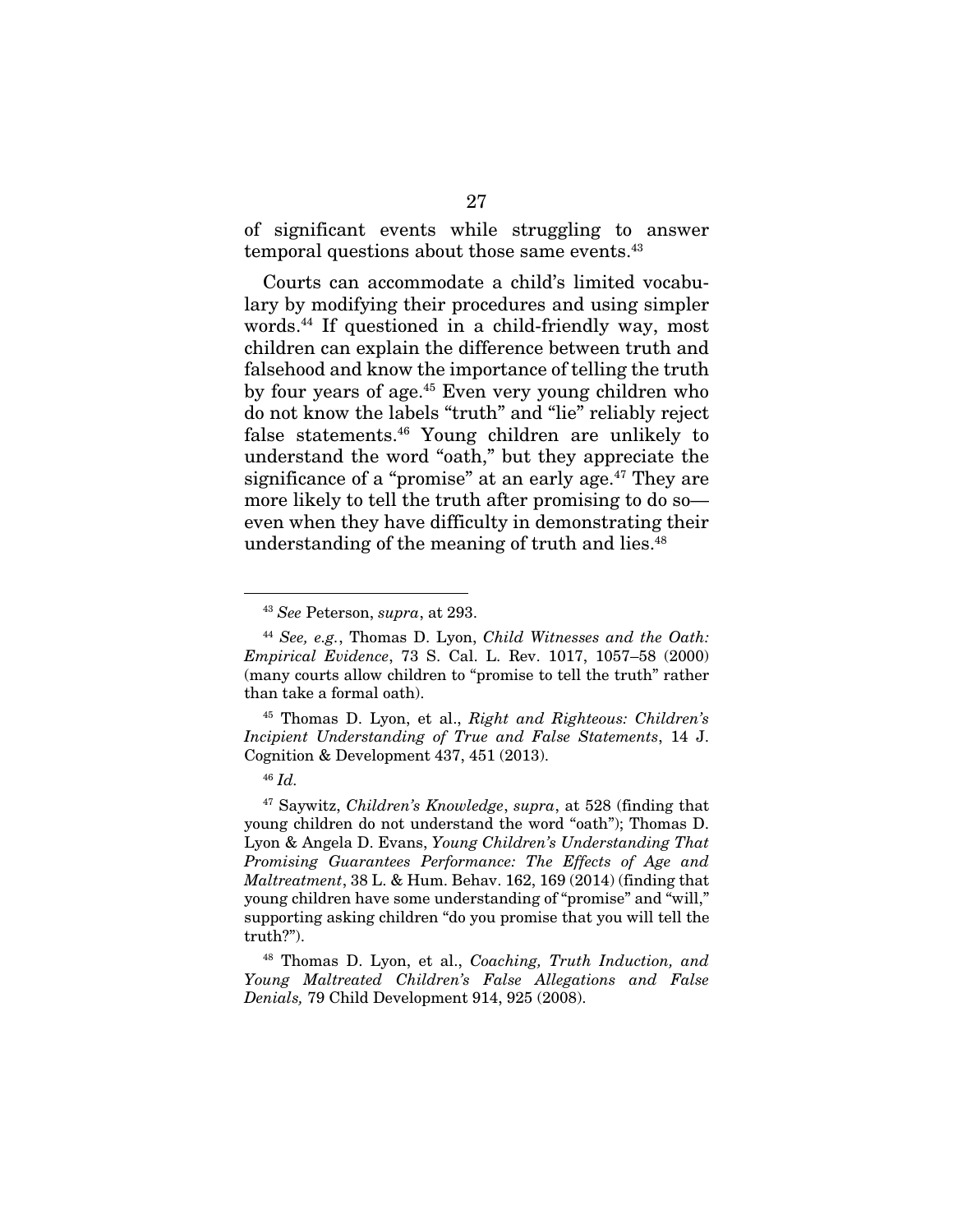of significant events while struggling to answer temporal questions about those same events.<sup>43</sup>

Courts can accommodate a child's limited vocabulary by modifying their procedures and using simpler words.44 If questioned in a child-friendly way, most children can explain the difference between truth and falsehood and know the importance of telling the truth by four years of age.45 Even very young children who do not know the labels "truth" and "lie" reliably reject false statements.46 Young children are unlikely to understand the word "oath," but they appreciate the significance of a "promise" at an early age.<sup>47</sup> They are more likely to tell the truth after promising to do so even when they have difficulty in demonstrating their understanding of the meaning of truth and lies.<sup>48</sup>

45 Thomas D. Lyon, et al., *Right and Righteous: Children's Incipient Understanding of True and False Statements*, 14 J. Cognition & Development 437, 451 (2013).

 <sup>43</sup> *See* Peterson, *supra*, at 293.

<sup>44</sup> *See, e.g.*, Thomas D. Lyon, *Child Witnesses and the Oath: Empirical Evidence*, 73 S. Cal. L. Rev. 1017, 1057–58 (2000) (many courts allow children to "promise to tell the truth" rather than take a formal oath).

<sup>46</sup> *Id.*

<sup>47</sup> Saywitz, *Children's Knowledge*, *supra*, at 528 (finding that young children do not understand the word "oath"); Thomas D. Lyon & Angela D. Evans, *Young Children's Understanding That Promising Guarantees Performance: The Effects of Age and Maltreatment*, 38 L. & Hum. Behav. 162, 169 (2014) (finding that young children have some understanding of "promise" and "will," supporting asking children "do you promise that you will tell the truth?").

<sup>48</sup> Thomas D. Lyon, et al., *Coaching, Truth Induction, and Young Maltreated Children's False Allegations and False Denials,* 79 Child Development 914, 925 (2008).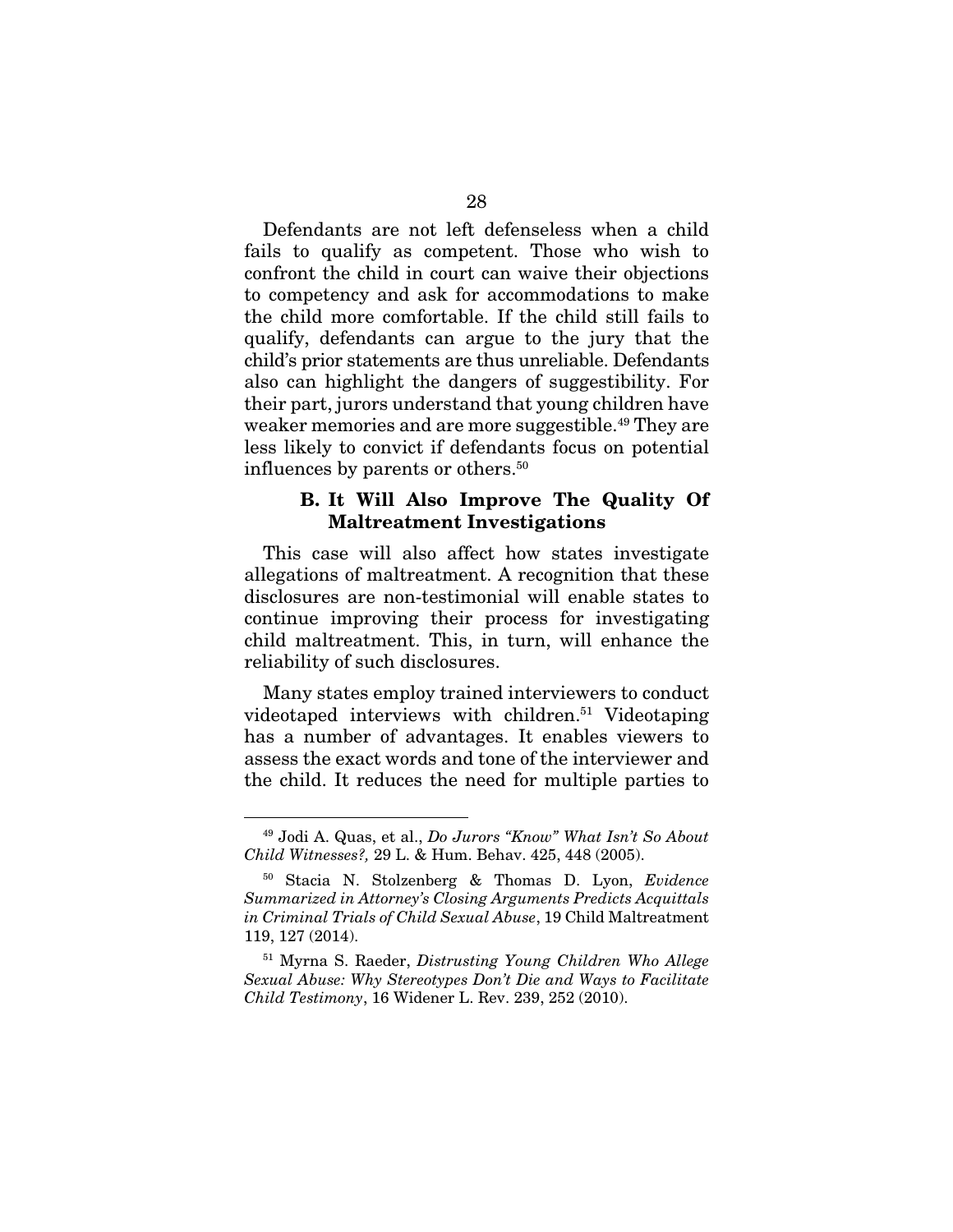Defendants are not left defenseless when a child fails to qualify as competent. Those who wish to confront the child in court can waive their objections to competency and ask for accommodations to make the child more comfortable. If the child still fails to qualify, defendants can argue to the jury that the child's prior statements are thus unreliable. Defendants also can highlight the dangers of suggestibility. For their part, jurors understand that young children have weaker memories and are more suggestible.<sup>49</sup> They are less likely to convict if defendants focus on potential influences by parents or others.<sup>50</sup>

### B. It Will Also Improve The Quality Of Maltreatment Investigations

This case will also affect how states investigate allegations of maltreatment. A recognition that these disclosures are non-testimonial will enable states to continue improving their process for investigating child maltreatment. This, in turn, will enhance the reliability of such disclosures.

Many states employ trained interviewers to conduct videotaped interviews with children.<sup>51</sup> Videotaping has a number of advantages. It enables viewers to assess the exact words and tone of the interviewer and the child. It reduces the need for multiple parties to

 <sup>49</sup> Jodi A. Quas, et al., *Do Jurors "Know" What Isn't So About Child Witnesses?,* 29 L. & Hum. Behav. 425, 448 (2005).

<sup>50</sup> Stacia N. Stolzenberg & Thomas D. Lyon, *Evidence Summarized in Attorney's Closing Arguments Predicts Acquittals in Criminal Trials of Child Sexual Abuse*, 19 Child Maltreatment 119, 127 (2014).

<sup>51</sup> Myrna S. Raeder, *Distrusting Young Children Who Allege Sexual Abuse: Why Stereotypes Don't Die and Ways to Facilitate Child Testimony*, 16 Widener L. Rev. 239, 252 (2010).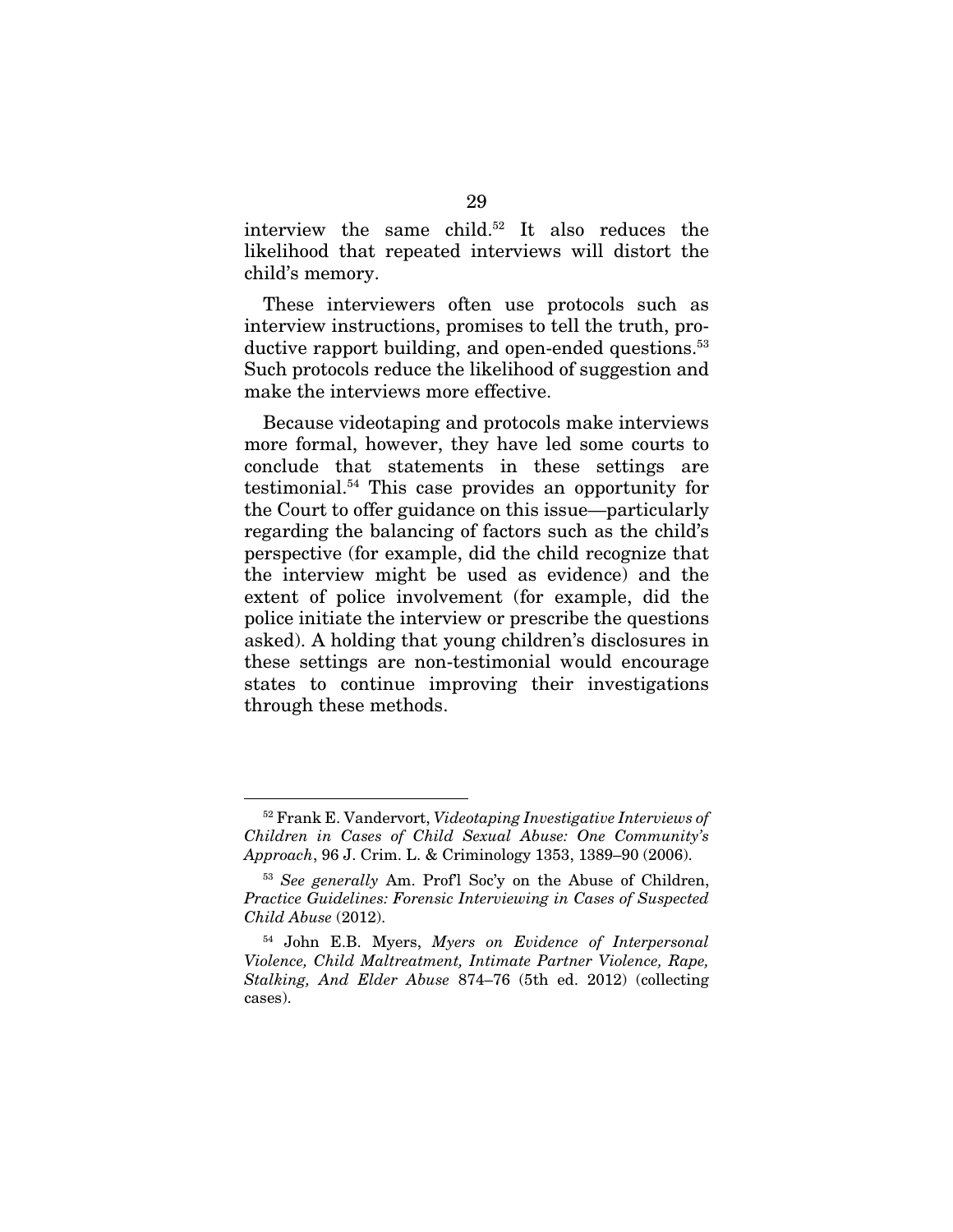interview the same child.52 It also reduces the likelihood that repeated interviews will distort the child's memory.

These interviewers often use protocols such as interview instructions, promises to tell the truth, productive rapport building, and open-ended questions.<sup>53</sup> Such protocols reduce the likelihood of suggestion and make the interviews more effective.

Because videotaping and protocols make interviews more formal, however, they have led some courts to conclude that statements in these settings are testimonial.54 This case provides an opportunity for the Court to offer guidance on this issue—particularly regarding the balancing of factors such as the child's perspective (for example, did the child recognize that the interview might be used as evidence) and the extent of police involvement (for example, did the police initiate the interview or prescribe the questions asked). A holding that young children's disclosures in these settings are non-testimonial would encourage states to continue improving their investigations through these methods.

 <sup>52</sup> Frank E. Vandervort, *Videotaping Investigative Interviews of Children in Cases of Child Sexual Abuse: One Community's Approach*, 96 J. Crim. L. & Criminology 1353, 1389–90 (2006).

<sup>53</sup> *See generally* Am. Prof'l Soc'y on the Abuse of Children, *Practice Guidelines: Forensic Interviewing in Cases of Suspected Child Abuse* (2012).

<sup>54</sup> John E.B. Myers, *Myers on Evidence of Interpersonal Violence, Child Maltreatment, Intimate Partner Violence, Rape, Stalking, And Elder Abuse* 874–76 (5th ed. 2012) (collecting cases).